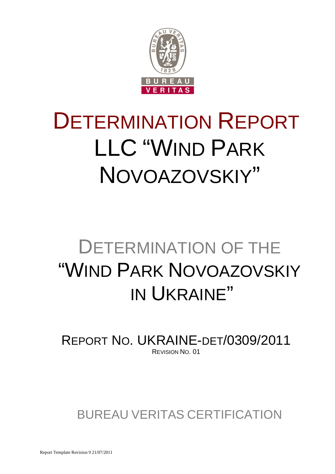

# DETERMINATION REPORT LLC "WIND PARK NOVOAZOVSKIY"

## DETERMINATION OF THE "WIND PARK NOVOAZOVSKIY IN UKRAINE"

REPORT NO. UKRAINE-DET/0309/2011 REVISION NO. 01

BUREAU VERITAS CERTIFICATION

Report Template Revision 9 21/07/2011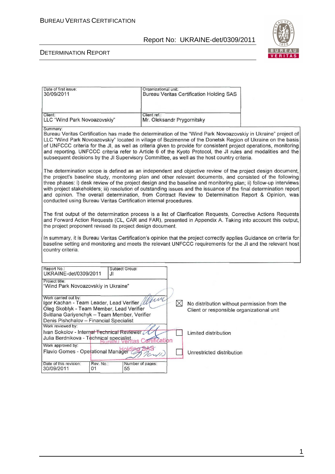

| Date of first issue:<br>30/09/2011                                                                                                                                                                                                                                                                                                                                                                                                                                                                                                                                                                                                              | Organizational unit:                       | <b>Bureau Veritas Certification Holding SAS</b>                                          |  |
|-------------------------------------------------------------------------------------------------------------------------------------------------------------------------------------------------------------------------------------------------------------------------------------------------------------------------------------------------------------------------------------------------------------------------------------------------------------------------------------------------------------------------------------------------------------------------------------------------------------------------------------------------|--------------------------------------------|------------------------------------------------------------------------------------------|--|
| Client:<br>LLC "Wind Park Novoazovskiy"                                                                                                                                                                                                                                                                                                                                                                                                                                                                                                                                                                                                         | Client ref.:<br>Mr. Oleksandr Prygornitsky |                                                                                          |  |
| Summary:<br>Bureau Veritas Certification has made the determination of the "Wind Park Novoazovskiy in Ukraine" project of<br>LLC "Wind Park Novoazovskiy" located in village of Bezimenne of the Donetsk Region of Ukraine on the basis<br>of UNFCCC criteria for the JI, as well as criteria given to provide for consistent project operations, monitoring<br>and reporting. UNFCCC criteria refer to Article 6 of the Kyoto Protocol, the JI rules and modalities and the<br>subsequent decisions by the JI Supervisory Committee, as well as the host country criteria.                                                                     |                                            |                                                                                          |  |
| The determination scope is defined as an independent and objective review of the project design document,<br>the project's baseline study, monitoring plan and other relevant documents, and consisted of the following<br>three phases: i) desk review of the project design and the baseline and monitoring plan; ii) follow-up interviews<br>with project stakeholders; iii) resolution of outstanding issues and the issuance of the final determination report<br>and opinion. The overall determination, from Contract Review to Determination Report & Opinion, was<br>conducted using Bureau Veritas Certification internal procedures. |                                            |                                                                                          |  |
| The first output of the determination process is a list of Clarification Requests, Corrective Actions Requests<br>and Forward Action Requests (CL, CAR and FAR), presented in Appendix A. Taking into account this output,<br>the project proponent revised its project design document.                                                                                                                                                                                                                                                                                                                                                        |                                            |                                                                                          |  |
| In summary, it is Bureau Veritas Certification's opinion that the project correctly applies Guidance on criteria for<br>baseline setting and monitoring and meets the relevant UNFCCC requirements for the JI and the relevant host<br>country criteria.                                                                                                                                                                                                                                                                                                                                                                                        |                                            |                                                                                          |  |
| Report No.:<br>Subject Group:<br>UKRAINE-det/0309/2011<br>JI                                                                                                                                                                                                                                                                                                                                                                                                                                                                                                                                                                                    |                                            |                                                                                          |  |
| Project title:<br>"Wind Park Novoazovskiy in Ukraine"                                                                                                                                                                                                                                                                                                                                                                                                                                                                                                                                                                                           |                                            |                                                                                          |  |
| Work carried out by:<br>Igor Kachan - Team Leader, Lead Verifier / l<br>Oleg Skoblyk - Team Member, Lead Verifier<br>Svitlana Gariyenchyk - Team Member, Verifier<br>Denis Pishchalov - Financial Specialist<br>Work reviewed by:                                                                                                                                                                                                                                                                                                                                                                                                               | $\bowtie$                                  | No distribution without permission from the<br>Client or responsible organizational unit |  |
| Ivan Sokolov - Internal Technical Reviewer<br>Julia Berdnikova - Technical specialist                                                                                                                                                                                                                                                                                                                                                                                                                                                                                                                                                           |                                            | Limited distribution                                                                     |  |
| Work approved by:<br>Flavio Gomes - Operational Managerdia                                                                                                                                                                                                                                                                                                                                                                                                                                                                                                                                                                                      | ification                                  | Unrestricted distribution                                                                |  |
| Date of this revision:<br>Rev. No.:<br>Number of pages:<br>30/09/2011<br>01<br>55                                                                                                                                                                                                                                                                                                                                                                                                                                                                                                                                                               |                                            |                                                                                          |  |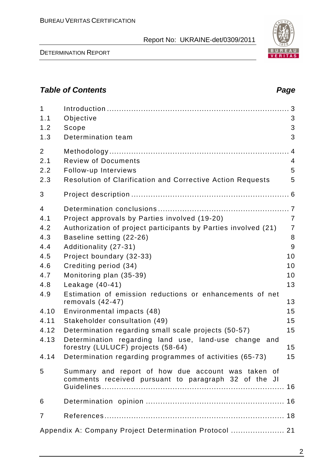2

## **Table of Contents Page 2018**

| $\mathbf{1}$<br>1.1<br>1.2<br>1.3                                                                     | Objective<br>Scope<br>Determination team                                                                                                                                                                                                                                                                                                                                                                                                                                         | 3<br>3<br>3                                                                                |
|-------------------------------------------------------------------------------------------------------|----------------------------------------------------------------------------------------------------------------------------------------------------------------------------------------------------------------------------------------------------------------------------------------------------------------------------------------------------------------------------------------------------------------------------------------------------------------------------------|--------------------------------------------------------------------------------------------|
| $\overline{2}$<br>2.1<br>2.2<br>2.3                                                                   | <b>Review of Documents</b><br>Follow-up Interviews<br><b>Resolution of Clarification and Corrective Action Requests</b>                                                                                                                                                                                                                                                                                                                                                          | 4<br>5<br>5                                                                                |
| 3                                                                                                     |                                                                                                                                                                                                                                                                                                                                                                                                                                                                                  |                                                                                            |
| $\overline{4}$<br>4.1<br>4.2<br>4.3<br>4.4<br>4.5<br>4.6<br>4.7<br>4.8<br>4.9<br>4.10<br>4.11<br>4.12 | Project approvals by Parties involved (19-20)<br>Authorization of project participants by Parties involved (21)<br>Baseline setting (22-26)<br>Additionality (27-31)<br>Project boundary (32-33)<br>Crediting period (34)<br>Monitoring plan (35-39)<br>Leakage (40-41)<br>Estimation of emission reductions or enhancements of net<br>removals $(42-47)$<br>Environmental impacts (48)<br>Stakeholder consultation (49)<br>Determination regarding small scale projects (50-57) | $\overline{7}$<br>$\overline{7}$<br>8<br>9<br>10<br>10<br>10<br>13<br>13<br>15<br>15<br>15 |
| 4.13<br>4.14                                                                                          | Determination regarding land use, land-use change<br>and<br>forestry (LULUCF) projects (58-64)<br>Determination regarding programmes of activities (65-73)                                                                                                                                                                                                                                                                                                                       | 15<br>15 <sub>1</sub>                                                                      |
| 5                                                                                                     | Summary and report of how due account was taken of<br>comments received pursuant to paragraph 32 of the JI                                                                                                                                                                                                                                                                                                                                                                       |                                                                                            |
| 6                                                                                                     |                                                                                                                                                                                                                                                                                                                                                                                                                                                                                  |                                                                                            |
| $\overline{7}$                                                                                        |                                                                                                                                                                                                                                                                                                                                                                                                                                                                                  |                                                                                            |
|                                                                                                       | Appendix A: Company Project Determination Protocol  21                                                                                                                                                                                                                                                                                                                                                                                                                           |                                                                                            |
|                                                                                                       |                                                                                                                                                                                                                                                                                                                                                                                                                                                                                  |                                                                                            |

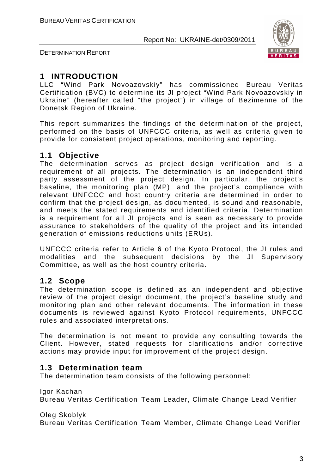



## **1 INTRODUCTION**

LLC "Wind Park Novoazovskiy" has commissioned Bureau Veritas Certification (BVC) to determine its JI project "Wind Park Novoazovskiy in Ukraine" (hereafter called "the project") in village of Bezimenne of the Donetsk Region of Ukraine.

This report summarizes the findings of the determination of the project, performed on the basis of UNFCCC criteria, as well as criteria given to provide for consistent project operations, monitoring and reporting.

## **1.1 Objective**

The determination serves as project design verification and is a requirement of all projects. The determination is an independent third party assessment of the project design. In particular, the project's baseline, the monitoring plan (MP), and the project's compliance with relevant UNFCCC and host country criteria are determined in order to confirm that the project design, as documented, is sound and reasonable, and meets the stated requirements and identified criteria. Determination is a requirement for all JI projects and is seen as necessary to provide assurance to stakeholders of the quality of the project and its intended generation of emissions reductions units (ERUs).

UNFCCC criteria refer to Article 6 of the Kyoto Protocol, the JI rules and modalities and the subsequent decisions by the JI Supervisory Committee, as well as the host country criteria.

## **1.2 Scope**

The determination scope is defined as an independent and objective review of the project design document, the project's baseline study and monitoring plan and other relevant documents. The information in these documents is reviewed against Kyoto Protocol requirements, UNFCCC rules and associated interpretations.

The determination is not meant to provide any consulting towards the Client. However, stated requests for clarifications and/or corrective actions may provide input for improvement of the project design.

## **1.3 Determination team**

The determination team consists of the following personnel:

Igor Kachan

Bureau Veritas Certification Team Leader, Climate Change Lead Verifier

Oleg Skoblyk

Bureau Veritas Certification Team Member, Climate Change Lead Verifier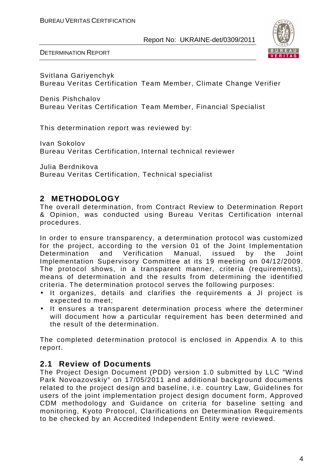

Svitlana Gariyenchyk Bureau Veritas Certification Team Member, Climate Change Verifier

Denis Pishchalov Bureau Veritas Certification Team Member, Financial Specialist

This determination report was reviewed by:

Ivan Sokolov Bureau Veritas Certification, Internal technical reviewer

Julia Berdnikova Bureau Veritas Certification, Technical specialist

## **2 METHODOLOGY**

The overall determination, from Contract Review to Determination Report & Opinion, was conducted using Bureau Veritas Certification internal procedures.

In order to ensure transparency, a determination protocol was customized for the project, according to the version 01 of the Joint Implementation Determination and Verification Manual, issued by the Joint Implementation Supervisory Committee at its 19 meeting on 04/12/2009. The protocol shows, in a transparent manner, criteria (requirements), means of determination and the results from determining the identified criteria. The determination protocol serves the following purposes:

- It organizes, details and clarifies the requirements a JI project is expected to meet;
- It ensures a transparent determination process where the determiner will document how a particular requirement has been determined and the result of the determination.

The completed determination protocol is enclosed in Appendix A to this report.

## **2.1 Review of Documents**

The Project Design Document (PDD) version 1.0 submitted by LLC "Wind Park Novoazovskiy" on 17/05/2011 and additional background documents related to the project design and baseline, i.e. country Law, Guidelines for users of the joint implementation project design document form, Approved CDM methodology and Guidance on criteria for baseline setting and monitoring, Kyoto Protocol, Clarifications on Determination Requirements to be сhecked by an Accredited Independent Entity were reviewed.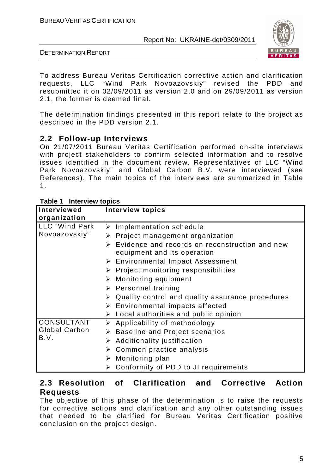

DETERMINATION REPORT

To address Bureau Veritas Certification corrective action and clarification requests, LLC "Wind Park Novoazovskiy" revised the PDD and resubmitted it on 02/09/2011 as version 2.0 and on 29/09/2011 as version 2.1, the former is deemed final.

The determination findings presented in this report relate to the project as described in the PDD version 2.1.

#### **2.2 Follow-up Interviews**

On 21/07/2011 Bureau Veritas Certification performed on-site interviews with project stakeholders to confirm selected information and to resolve issues identified in the document review. Representatives of LLC "Wind Park Novoazovskiy" and Global Carbon B.V. were interviewed (see References). The main topics of the interviews are summarized in Table 1.

| Interviewed          | <b>Interview topics</b>                                                                                |
|----------------------|--------------------------------------------------------------------------------------------------------|
| organization         |                                                                                                        |
| LLC "Wind Park       | $\triangleright$ Implementation schedule                                                               |
| Novoazovskiy"        | Project management organization<br>➤                                                                   |
|                      | Evidence and records on reconstruction and new<br>$\blacktriangleright$<br>equipment and its operation |
|                      | $\triangleright$ Environmental Impact Assessment                                                       |
|                      | $\triangleright$ Project monitoring responsibilities                                                   |
|                      | $\triangleright$ Monitoring equipment                                                                  |
|                      | $\triangleright$ Personnel training                                                                    |
|                      | Quality control and quality assurance procedures                                                       |
|                      | $\triangleright$ Environmental impacts affected                                                        |
|                      | $\triangleright$ Local authorities and public opinion                                                  |
| CONSULTANT           | $\triangleright$ Applicability of methodology                                                          |
| <b>Global Carbon</b> | <b>Baseline and Project scenarios</b><br>➤                                                             |
| B.V.                 | Additionality justification<br>➤                                                                       |
|                      | $\triangleright$ Common practice analysis                                                              |
|                      | $\triangleright$ Monitoring plan                                                                       |
|                      | Conformity of PDD to JI requirements                                                                   |

#### **Table 1 Interview topics**

## **2.3 Resolution of Clarification and Corrective Action Requests**

The objective of this phase of the determination is to raise the requests for corrective actions and clarification and any other outstanding issues that needed to be clarified for Bureau Veritas Certification positive conclusion on the project design.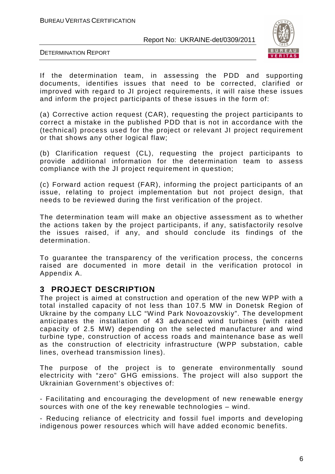

DETERMINATION REPORT

If the determination team, in assessing the PDD and supporting documents, identifies issues that need to be corrected, clarified or improved with regard to JI project requirements, it will raise these issues and inform the project participants of these issues in the form of:

(a) Corrective action request (CAR), requesting the project participants to correct a mistake in the published PDD that is not in accordance with the (technical) process used for the project or relevant JI project requirement or that shows any other logical flaw;

(b) Clarification request (CL), requesting the project participants to provide additional information for the determination team to assess compliance with the JI project requirement in question;

(c) Forward action request (FAR), informing the project participants of an issue, relating to project implementation but not project design, that needs to be reviewed during the first verification of the project.

The determination team will make an objective assessment as to whether the actions taken by the project participants, if any, satisfactorily resolve the issues raised, if any, and should conclude its findings of the determination.

To guarantee the transparency of the verification process, the concerns raised are documented in more detail in the verification protocol in Appendix A.

#### **3 PROJECT DESCRIPTION**

The project is aimed at construction and operation of the new WPP with a total installed capacity of not less than 107.5 MW in Donetsk Region of Ukraine by the company LLC "Wind Park Novoazovskiy". The development anticipates the installation of 43 advanced wind turbines (with rated capacity of 2.5 MW) depending on the selected manufacturer and wind turbine type, construction of access roads and maintenance base as well as the construction of electricity infrastructure (WPP substation, cable lines, overhead transmission lines).

The purpose of the project is to generate environmentally sound electricity with "zero" GHG emissions. The project will also support the Ukrainian Government's objectives of:

- Facilitating and encouraging the development of new renewable energy sources with one of the key renewable technologies – wind.

- Reducing reliance of electricity and fossil fuel imports and developing indigenous power resources which will have added economic benefits.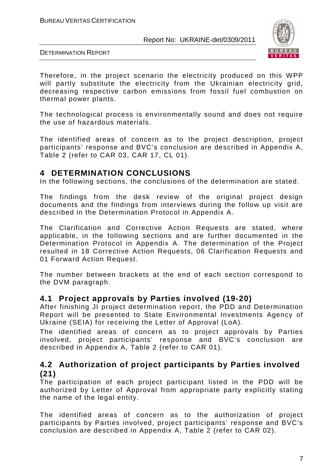

DETERMINATION REPORT

Therefore, in the project scenario the electricity produced on this WPP will partly substitute the electricity from the Ukrainian electricity grid, decreasing respective carbon emissions from fossil fuel combustion on thermal power plants.

The technological process is environmentally sound and does not require the use of hazardous materials.

The identified areas of concern as to the project description, project participants' response and BVC's conclusion are described in Appendix A, Table 2 (refer to CAR 03, CAR 17, CL 01).

#### **4 DETERMINATION CONCLUSIONS**

In the following sections, the conclusions of the determination are stated.

The findings from the desk review of the original project design documents and the findings from interviews during the follow up visit are described in the Determination Protocol in Appendix A.

The Clarification and Corrective Action Requests are stated, where applicable, in the following sections and are further documented in the Determination Protocol in Appendix A. The determination of the Project resulted in 18 Corrective Action Requests, 06 Clarification Requests and 01 Forward Action Request.

The number between brackets at the end of each section correspond to the DVM paragraph.

#### **4.1 Project approvals by Parties involved (19-20)**

After finishing JI project determination report, the PDD and Determination Report will be presented to State Environmental Investments Agency of Ukraine (SEIA) for receiving the Letter of Approval (LoA).

The identified areas of concern as to project approvals by Parties involved, project participants' response and BVC's conclusion are described in Appendix A, Table 2 (refer to CAR 01).

## **4.2 Authorization of project participants by Parties involved (21)**

The participation of each project participant listed in the PDD will be authorized by Letter of Approval from appropriate party explicitly stating the name of the legal entity.

The identified areas of concern as to the authorization of project participants by Parties involved, project participants' response and BVC's conclusion are described in Appendix A, Table 2 (refer to CAR 02).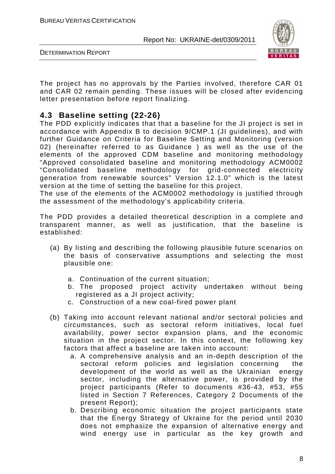

DETERMINATION REPORT

The project has no approvals by the Parties involved, therefore CAR 01 and CAR 02 remain pending. These issues will be closed after evidencing letter presentation before report finalizing.

## **4.3 Baseline setting (22-26)**

The PDD explicitly indicates that that a baseline for the JI project is set in accordance with Appendix B to decision 9/CMP.1 (JI guidelines), and with further Guidance on Criteria for Baseline Setting and Monitoring (version 02) (hereinafter referred to as Guidance ) as well as the use of the elements of the approved CDM baseline and monitoring methodology "Approved consolidated baseline and monitoring methodology ACM0002 "Consolidated baseline methodology for grid-connected electricity generation from renewable sources" Version 12.1.0" which is the latest version at the time of setting the baseline for this project.

The use of the elements of the ACM0002 methodology is justified through the assessment of the methodology's applicability criteria.

The PDD provides a detailed theoretical description in a complete and transparent manner, as well as justification, that the baseline is established:

- (a) By listing and describing the following plausible future scenarios on the basis of conservative assumptions and selecting the most plausible one:
	- a. Continuation of the current situation;
	- b. The proposed project activity undertaken without being registered as a JI project activity;
	- c. Construction of a new coal-fired power plant
- (b) Taking into account relevant national and/or sectoral policies and circumstances, such as sectoral reform initiatives, local fuel availability, power sector expansion plans, and the economic situation in the project sector. In this context, the following key factors that affect a baseline are taken into account:
	- a. A comprehensive analysis and an in-depth description of the sectoral reform policies and legislation concerning the development of the world as well as the Ukrainian energy sector, including the alternative power, is provided by the project participants (Refer to documents #36-43, #53, #55 listed in Section 7 References, Category 2 Documents of the present Report);
	- b. Describing economic situation the project participants state that the Energy Strategy of Ukraine for the period until 2030 does not emphasize the expansion of alternative energy and wind energy use in particular as the key growth and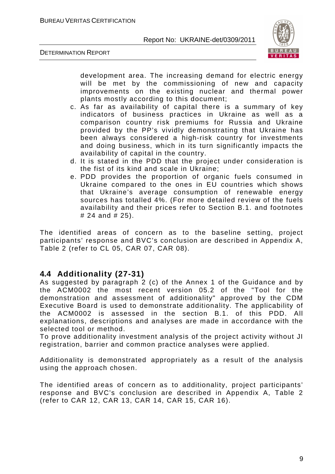



development area. The increasing demand for electric energy will be met by the commissioning of new and capacity improvements on the existing nuclear and thermal power plants mostly according to this document;

- c. As far as availability of capital there is a summary of key indicators of business practices in Ukraine as well as a comparison country risk premiums for Russia and Ukraine provided by the PP's vividly demonstrating that Ukraine has been always considered a high-risk country for investments and doing business, which in its turn significantly impacts the availability of capital in the country.
- d. It is stated in the PDD that the project under consideration is the fist of its kind and scale in Ukraine;
- e. PDD provides the proportion of organic fuels consumed in Ukraine compared to the ones in EU countries which shows that Ukraine's average consumption of renewable energy sources has totalled 4%. (For more detailed review of the fuels availability and their prices refer to Section B.1. and footnotes # 24 and # 25).

The identified areas of concern as to the baseline setting, project participants' response and BVC's conclusion are described in Appendix A, Table 2 (refer to CL 05, CAR 07, CAR 08).

## **4.4 Additionality (27-31)**

As suggested by paragraph 2 (c) of the Annex 1 of the Guidance and by the ACM0002 the most recent version 05.2 of the "Tool for the demonstration and assessment of additionality" approved by the CDM Executive Board is used to demonstrate additionality. The applicability of the ACM0002 is assessed in the section B.1. of this PDD. All explanations, descriptions and analyses are made in accordance with the selected tool or method.

To prove additionality investment analysis of the project activity without JI registration, barrier and common practice analyses were applied.

Additionality is demonstrated appropriately as a result of the analysis using the approach chosen.

The identified areas of concern as to additionality, project participants' response and BVC's conclusion are described in Appendix A, Table 2 (refer to CAR 12, CAR 13, CAR 14, CAR 15, CAR 16).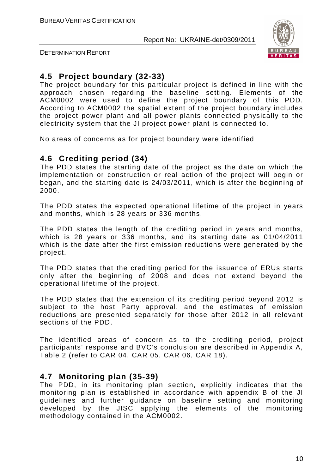

DETERMINATION REPORT

## **4.5 Project boundary (32-33)**

The project boundary for this particular project is defined in line with the approach chosen regarding the baseline setting. Elements of the ACM0002 were used to define the project boundary of this PDD. According to ACM0002 the spatial extent of the project boundary includes the project power plant and all power plants connected physically to the electricity system that the JI project power plant is connected to.

No areas of concerns as for project boundary were identified

## **4.6 Crediting period (34)**

The PDD states the starting date of the project as the date on which the implementation or construction or real action of the project will begin or began, and the starting date is 24/03/2011, which is after the beginning of 2000.

The PDD states the expected operational lifetime of the project in years and months, which is 28 years or 336 months.

The PDD states the length of the crediting period in years and months, which is 28 years or 336 months, and its starting date as 01/04/2011 which is the date after the first emission reductions were generated by the project.

The PDD states that the crediting period for the issuance of ERUs starts only after the beginning of 2008 and does not extend beyond the operational lifetime of the project.

The PDD states that the extension of its crediting period beyond 2012 is subject to the host Party approval, and the estimates of emission reductions are presented separately for those after 2012 in all relevant sections of the PDD.

The identified areas of concern as to the crediting period, project participants' response and BVC's conclusion are described in Appendix A, Table 2 (refer to CAR 04, CAR 05, CAR 06, CAR 18).

#### **4.7 Monitoring plan (35-39)**

The PDD, in its monitoring plan section, explicitly indicates that the monitoring plan is established in accordance with appendix B of the JI guidelines and further guidance on baseline setting and monitoring developed by the JISC applying the elements of the monitoring methodology contained in the ACM0002.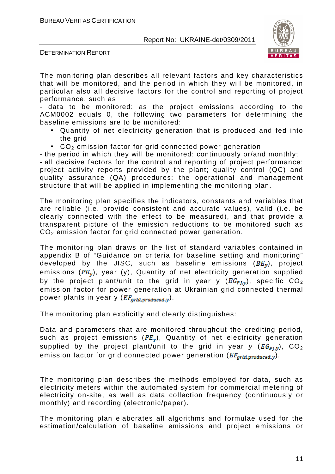

DETERMINATION REPORT

The monitoring plan describes all relevant factors and key characteristics that will be monitored, and the period in which they will be monitored, in particular also all decisive factors for the control and reporting of project performance, such as

- data to be monitored: as the project emissions according to the ACM0002 equals 0, the following two parameters for determining the baseline emissions are to be monitored:

- Quantity of net electricity generation that is produced and fed into the grid
- $CO<sub>2</sub>$  emission factor for grid connected power generation;

- the period in which they will be monitored: continuously or/and monthly;

- all decisive factors for the control and reporting of project performance: project activity reports provided by the plant; quality control (QC) and quality assurance (QA) procedures; the operational and management structure that will be applied in implementing the monitoring plan.

The monitoring plan specifies the indicators, constants and variables that are reliable (i.e. provide consistent and accurate values), valid (i.e. be clearly connected with the effect to be measured), and that provide a transparent picture of the emission reductions to be monitored such as CO<sub>2</sub> emission factor for grid connected power generation.

The monitoring plan draws on the list of standard variables contained in appendix B of "Guidance on criteria for baseline setting and monitoring" developed by the JISC, such as baseline emissions  $(BE_y)$ , project emissions ( $PE<sub>v</sub>$ ), year (y), Quantity of net electricity generation supplied by the project plant/unit to the grid in year y  $(EG_{PI,y})$ , specific  $CO<sub>2</sub>$ emission factor for power generation at Ukrainian grid connected thermal power plants in year y  $(EF_{\text{grid},\text{produced},y})$ .

The monitoring plan explicitly and clearly distinguishes:

Data and parameters that are monitored throughout the crediting period, such as project emissions ( $PE<sub>w</sub>$ ), Quantity of net electricity generation supplied by the project plant/unit to the grid in year y ( $EG_{PLV}$ ),  $CO_2$ emission factor for grid connected power generation ( $EF_{\text{arid},\text{produced},v}$ ).

The monitoring plan describes the methods employed for data, such as electricity meters within the automated system for commercial metering of electricity on-site, as well as data collection frequency (continuously or monthly) and recording (electronic/paper).

The monitoring plan elaborates all algorithms and formulae used for the estimation/calculation of baseline emissions and project emissions or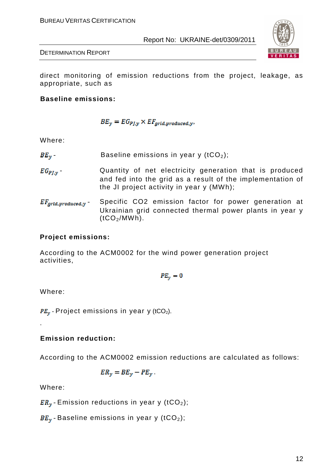

DETERMINATION REPORT

direct monitoring of emission reductions from the project, leakage, as appropriate, such as

**Baseline emissions:** 

$$
BE_y = EG_{PJ,y} \times EF_{grid, produced,y},
$$

Where:

- $BE_v$  Baseline emissions in year y (tCO<sub>2</sub>);
- $EG_{PLV}$  Quantity of net electricity generation that is produced and fed into the grid as a result of the implementation of the JI project activity in year y (MWh);
- $EF_{grid, broaduced, y}$  Specific CO2 emission factor for power generation at Ukrainian grid connected thermal power plants in year y  $(tCO<sub>2</sub>/MWh)$ .

#### **Project emissions:**

According to the ACM0002 for the wind power generation project activities,

 $PE_v = 0$ 

Where:

.

 $PE_{\nu}$  - Project emissions in year y (tCO<sub>2</sub>).

#### **Emission reduction:**

According to the ACM0002 emission reductions are calculated as follows:

$$
ER_y = BE_y - PE_y.
$$

Where:

 $ER<sub>v</sub>$  - Emission reductions in year y (tCO<sub>2</sub>);

 $BE_v$  - Baseline emissions in year y (tCO<sub>2</sub>);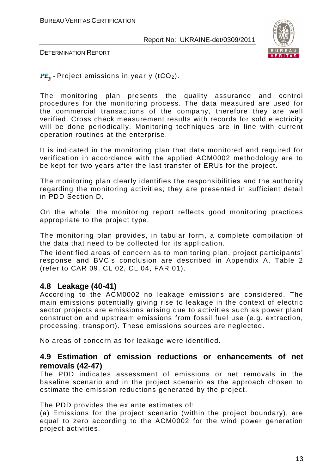

DETERMINATION REPORT

 $PE_v$ -Project emissions in year y (tCO<sub>2</sub>).

The monitoring plan presents the quality assurance and control procedures for the monitoring process. The data measured are used for the commercial transactions of the company, therefore they are well verified. Cross check measurement results with records for sold electricity will be done periodically. Monitoring techniques are in line with current operation routines at the enterprise.

It is indicated in the monitoring plan that data monitored and required for verification in accordance with the applied ACM0002 methodology are to be kept for two years after the last transfer of ERUs for the project.

The monitoring plan clearly identifies the responsibilities and the authority regarding the monitoring activities; they are presented in sufficient detail in PDD Section D.

On the whole, the monitoring report reflects good monitoring practices appropriate to the project type.

The monitoring plan provides, in tabular form, a complete compilation of the data that need to be collected for its application.

The identified areas of concern as to monitoring plan, project participants' response and BVC's conclusion are described in Appendix A, Table 2 (refer to CAR 09, CL 02, CL 04, FAR 01).

#### **4.8 Leakage (40-41)**

According to the ACM0002 no leakage emissions are considered. The main emissions potentially giving rise to leakage in the context of electric sector projects are emissions arising due to activities such as power plant construction and upstream emissions from fossil fuel use (e.g. extraction, processing, transport). These emissions sources are neglected.

No areas of concern as for leakage were identified.

#### **4.9 Estimation of emission reductions or enhancements of net removals (42-47)**

The PDD indicates assessment of emissions or net removals in the baseline scenario and in the project scenario as the approach chosen to estimate the emission reductions generated by the project.

#### The PDD provides the ex ante estimates of:

(a) Emissions for the project scenario (within the project boundary), are equal to zero according to the ACM0002 for the wind power generation project activities.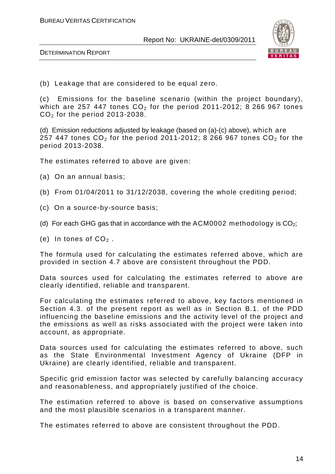

DETERMINATION REPORT

(b) Leakage that are considered to be equal zero.

(c) Emissions for the baseline scenario (within the project boundary), which are 257 447 tones  $CO<sub>2</sub>$  for the period 2011-2012; 8 266 967 tones  $CO<sub>2</sub>$  for the period 2013-2038.

(d) Emission reductions adjusted by leakage (based on (a)-(c) above), which are 257 447 tones  $CO<sub>2</sub>$  for the period 2011-2012; 8 266 967 tones  $CO<sub>2</sub>$  for the period 2013-2038.

The estimates referred to above are given:

- (a) On an annual basis;
- (b) From 01/04/2011 to 31/12/2038, covering the whole crediting period;
- (c) On a source-by-source basis;
- (d) For each GHG gas that in accordance with the ACM0002 methodology is  $CO<sub>2</sub>$ ;
- (e) In tones of  $CO<sub>2</sub>$ .

The formula used for calculating the estimates referred above, which are provided in section 4.7 above are consistent throughout the PDD.

Data sources used for calculating the estimates referred to above are clearly identified, reliable and transparent.

For calculating the estimates referred to above, key factors mentioned in Section 4.3. of the present report as well as in Section B.1. of the PDD influencing the baseline emissions and the activity level of the project and the emissions as well as risks associated with the project were taken into account, as appropriate.

Data sources used for calculating the estimates referred to above, such as the State Environmental Investment Agency of Ukraine (DFP in Ukraine) are clearly identified, reliable and transparent.

Specific grid emission factor was selected by carefully balancing accuracy and reasonableness, and appropriately justified of the choice.

The estimation referred to above is based on conservative assumptions and the most plausible scenarios in a transparent manner.

The estimates referred to above are consistent throughout the PDD.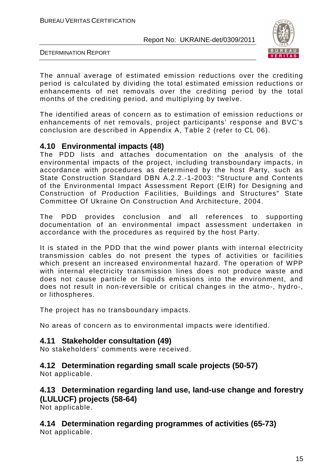

DETERMINATION REPORT

The annual average of estimated emission reductions over the crediting period is calculated by dividing the total estimated emission reductions or enhancements of net removals over the crediting period by the total months of the crediting period, and multiplying by twelve.

The identified areas of concern as to estimation of emission reductions or enhancements of net removals, project participants' response and BVC's conclusion are described in Appendix A, Table 2 (refer to CL 06).

#### **4.10 Environmental impacts (48)**

The PDD lists and attaches documentation on the analysis of the environmental impacts of the project, including transboundary impacts, in accordance with procedures as determined by the host Party, such as State Construction Standard DBN A.2.2.-1-2003: "Structure and Contents of the Environmental Impact Assessment Report (EIR) for Designing and Construction of Production Facilities, Buildings and Structures" State Committee Of Ukraine On Construction And Architecture, 2004.

The PDD provides conclusion and all references to supporting documentation of an environmental impact assessment undertaken in accordance with the procedures as required by the host Party.

It is stated in the PDD that the wind power plants with internal electricity transmission cables do not present the types of activities or facilities which present an increased environmental hazard. The operation of WPP with internal electricity transmission lines does not produce waste and does not cause particle or liquids emissions into the environment, and does not result in non-reversible or critical changes in the atmo-, hydro-, or lithospheres.

The project has no transboundary impacts.

No areas of concern as to environmental impacts were identified.

#### **4.11 Stakeholder consultation (49)**

No stakeholders' comments were received.

## **4.12 Determination regarding small scale projects (50-57)**

Not applicable.

## **4.13 Determination regarding land use, land-use change and forestry (LULUCF) projects (58-64)**

Not applicable.

**4.14 Determination regarding programmes of activities (65-73)**  Not applicable.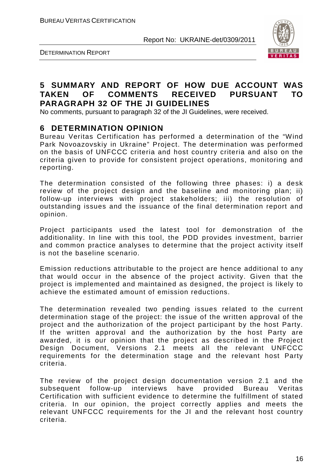



### **5 SUMMARY AND REPORT OF HOW DUE ACCOUNT WAS TAKEN OF COMMENTS RECEIVED PURSUANT TO PARAGRAPH 32 OF THE JI GUIDELINES**

No comments, pursuant to paragraph 32 of the JI Guidelines, were received.

#### **6 DETERMINATION OPINION**

Bureau Veritas Certification has performed a determination of the "Wind Park Novoazovskiy in Ukraine" Project. The determination was performed on the basis of UNFCCC criteria and host country criteria and also on the criteria given to provide for consistent project operations, monitoring and reporting.

The determination consisted of the following three phases: i) a desk review of the project design and the baseline and monitoring plan; ii) follow-up interviews with project stakeholders; iii) the resolution of outstanding issues and the issuance of the final determination report and opinion.

Project participants used the latest tool for demonstration of the additionality. In line with this tool, the PDD provides investment, barrier and common practice analyses to determine that the project activity itself is not the baseline scenario.

Emission reductions attributable to the project are hence additional to any that would occur in the absence of the project activity. Given that the project is implemented and maintained as designed, the project is likely to achieve the estimated amount of emission reductions.

The determination revealed two pending issues related to the current determination stage of the project: the issue of the written approval of the project and the authorization of the project participant by the host Party. If the written approval and the authorization by the host Party are awarded, it is our opinion that the project as described in the Project Design Document, Versions 2.1 meets all the relevant UNFCCC requirements for the determination stage and the relevant host Party criteria.

The review of the project design documentation version 2.1 and the subsequent follow-up interviews have provided Bureau Veritas Certification with sufficient evidence to determine the fulfillment of stated criteria. In our opinion, the project correctly applies and meets the relevant UNFCCC requirements for the JI and the relevant host country criteria.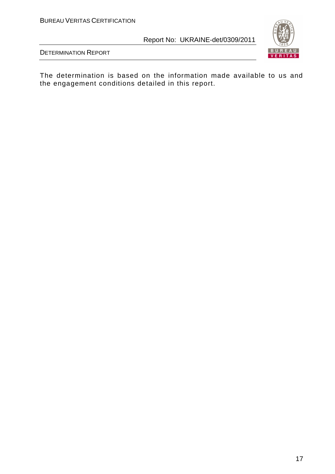



The determination is based on the information made available to us and the engagement conditions detailed in this report.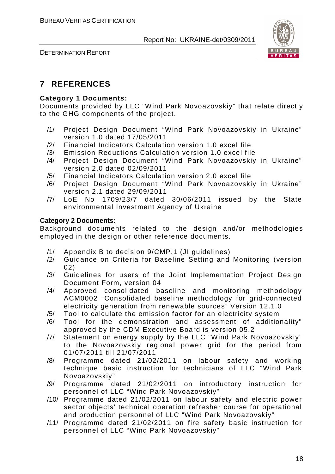



## **7 REFERENCES**

#### **Category 1 Documents:**

Documents provided by LLC "Wind Park Novoazovskiy" that relate directly to the GHG components of the project.

- /1/ Project Design Document "Wind Park Novoazovskiy in Ukraine" version 1.0 dated 17/05/2011
- /2/ Financial Indicators Calculation version 1.0 excel file
- /3/ Emission Reductions Calculation version 1.0 excel file
- /4/ Project Design Document "Wind Park Novoazovskiy in Ukraine" version 2.0 dated 02/09/2011
- /5/ Financial Indicators Calculation version 2.0 excel file
- /6/ Project Design Document "Wind Park Novoazovskiy in Ukraine" version 2.1 dated 29/09/2011
- /7/ LoE No 1709/23/7 dated 30/06/2011 issued by the State environmental Investment Agency of Ukraine

#### **Category 2 Documents:**

Background documents related to the design and/or methodologies employed in the design or other reference documents.

- /1/ Appendix B to decision 9/CMP.1 (JI guidelines)
- /2/ Guidance on Criteria for Baseline Setting and Monitoring (version 02)
- /3/ Guidelines for users of the Joint Implementation Project Design Document Form, version 04
- /4/ Approved consolidated baseline and monitoring methodology ACM0002 "Consolidated baseline methodology for grid-connected electricity generation from renewable sources" Version 12.1.0
- /5/ Tool to calculate the emission factor for an electricity system
- /6/ Tool for the demonstration and assessment of additionality" approved by the CDM Executive Board is version 05.2
- /7/ Statement on energy supply by the LLC "Wind Park Novoazovskiy" to the Novoazovskiy regional power grid for the period from 01/07/2011 till 21/07/2011
- /8/ Programme dated 21/02/2011 on labour safety and working technique basic instruction for technicians of LLC "Wind Park Novoazovskiy"
- /9/ Programme dated 21/02/2011 on introductory instruction for personnel of LLC "Wind Park Novoazovskiy"
- /10/ Programme dated 21/02/2011 on labour safety and electric power sector objects' technical operation refresher course for operational and production personnel of LLC "Wind Park Novoazovskiy"
- /11/ Programme dated 21/02/2011 on fire safety basic instruction for personnel of LLC "Wind Park Novoazovskiy"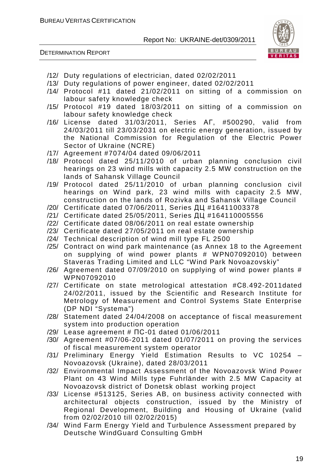



- /12/ Duty regulations of electrician, dated 02/02/2011
- /13/ Duty regulations of power engineer, dated 02/02/2011
- /14/ Protocol #11 dated 21/02/2011 on sitting of a commission on labour safety knowledge check
- /15/ Protocol #19 dated 18/03/2011 on sitting of a commission on labour safety knowledge check
- /16/ License dated 31/03/2011, Series АГ, #500290, valid from 24/03/2011 till 23/03/2031 on electric energy generation, issued by the National Commission for Regulation of the Electric Power Sector of Ukraine (NCRE)
- /17/ Agreement #7074/04 dated 09/06/2011
- /18/ Protocol dated 25/11/2010 of urban planning conclusion civil hearings on 23 wind mills with capacity 2.5 MW construction on the lands of Sahansk Village Council
- /19/ Protocol dated 25/11/2010 of urban planning conclusion civil hearings on Wind park, 23 wind mills with capacity 2.5 MW, construction on the lands of Rozivka and Sahansk Village Council
- /20/ Certificate dated 07/06/2011, Series ДЦ #16411003378
- /21/ Certificate dated 25/05/2011, Series ДЦ #164110005556
- /22/ Certificate dated 08/06/2011 on real estate ownership
- /23/ Certificate dated 27/05/2011 on real estate ownership
- /24/ Technical description of wind mill type FL 2500
- /25/ Contract on wind park maintenance (as Annex 18 to the Agreement on supplying of wind power plants # WPN07092010) between Staveras Trading Limited and LLC "Wind Park Novoazovskiy"
- $/26/$  Agreement dated 07/09/2010 on supplying of wind power plants # WPN07092010
- /27/ Certificate on state metrological attestation #С8.492-2011dated 24/02/2011, issued by the Scientific and Research Institute for Metrology of Measurement and Control Systems State Enterprise (DP NDI "Systema")
- /28/ Statement dated 24/04/2008 on acceptance of fiscal measurement system into production operation
- /29/ Lease agreement # ПС-01 dated 01/06/2011
- /30/ Agreement #07/06-2011 dated 01/07/2011 on proving the services of fiscal measurement system operator
- /31/ Preliminary Energy Yield Estimation Results to VC 10254 Novoazovsk (Ukraine), dated 28/03/2011
- /32/ Environmental Impact Assessment of the Novoazovsk Wind Power Plant on 43 Wind Mills type Fuhrländer with 2.5 MW Capacity at Novoazovsk district of Donetsk oblast working project
- /33/ License #513125, Series AB, on business activity connected with architectural objects construction, issued by the Ministry of Regional Development, Building and Housing of Ukraine (valid from 02/02/2010 till 02/02/2015)
- /34/ Wind Farm Energy Yield and Turbulence Assessment prepared by Deutsche WindGuard Consulting GmbH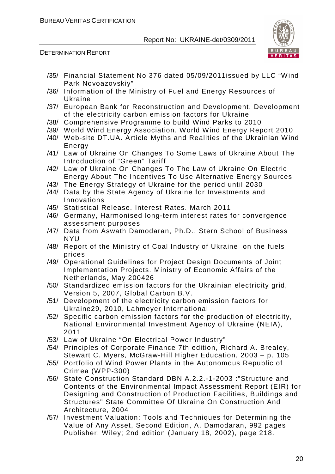



- /35/ Financial Statement No 376 dated 05/09/2011issued by LLC "Wind Park Novoazovskiy"
- /36/ Information of the Ministry of Fuel and Energy Resources of Ukraine
- /37/ European Bank for Reconstruction and Development. Development of the electricity carbon emission factors for Ukraine
- /38/ Comprehensive Programme to build Wind Parks to 2010
- /39/ World Wind Energy Association. World Wind Energy Report 2010
- /40/ Web-site DT.UA. Article Myths and Realities of the Ukrainian Wind Energy
- /41/ Law of Ukraine On Changes To Some Laws of Ukraine About The Introduction of "Green" Tariff
- /42/ Law of Ukraine On Changes To The Law of Ukraine On Electric Energy About The Incentives To Use Alternative Energy Sources
- /43/ The Energy Strategy of Ukraine for the period until 2030
- /44/ Data by the State Agency of Ukraine for Investments and Innovations
- /45/ Statistical Release. Interest Rates. March 2011
- /46/ Germany, Harmonised long-term interest rates for convergence assessment purposes
- /47/ Data from Aswath Damodaran, Ph.D., Stern School of Business NYU
- /48/ Report of the Ministry of Coal Industry of Ukraine on the fuels prices
- /49/ Operational Guidelines for Project Design Documents of Joint Implementation Projects. Ministry of Economic Affairs of the Netherlands, May 200426
- /50/ Standardized emission factors for the Ukrainian electricity grid, Version 5, 2007, Global Carbon B.V.
- /51/ Development of the electricity carbon emission factors for Ukraine29, 2010, Lahmeyer International
- /52/ Specific carbon emission factors for the production of electricity, National Environmental Investment Agency of Ukraine (NEIA), 2011
- /53/ Law of Ukraine "On Electrical Power Industry"
- /54/ Principles of Corporate Finance 7th edition, Richard A. Brealey, Stewart C. Myers, McGraw-Hill Higher Education, 2003 – p. 105
- /55/ Portfolio of Wind Power Plants in the Autonomous Republic of Crimea (WPP-300)
- /56/ State Construction Standard DBN A.2.2.-1-2003 :"Structure and Contents of the Environmental Impact Assessment Report (EIR) for Designing and Construction of Production Facilities, Buildings and Structures" State Committee Of Ukraine On Construction And Architecture, 2004
- /57/ Investment Valuation: Tools and Techniques for Determining the Value of Any Asset, Second Edition, A. Damodaran, 992 pages Publisher: Wiley; 2nd edition (January 18, 2002), page 218.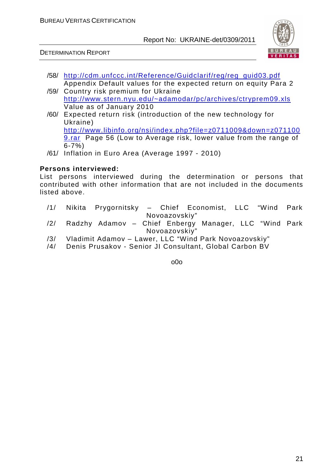

DETERMINATION REPORT

- /58/ http://cdm.unfccc.int/Reference/Guidclarif/reg/reg\_guid03.pdf Appendix Default values for the expected return on equity Para 2
- /59/ Country risk premium for Ukraine http://www.stern.nyu.edu/~adamodar/pc/archives/ctryprem09.xls Value as of January 2010
- /60/ Expected return risk (introduction of the new technology for Ukraine) http://www.libinfo.org/nsi/index.php?file=z0711009&down=z071100 **9.rar** Page 56 (Low to Average risk, lower value from the range of 6-7%)
- /61/ Inflation in Euro Area (Average 1997 2010)

#### **Persons interviewed:**

List persons interviewed during the determination or persons that contributed with other information that are not included in the documents listed above.

|     |  |               | /1/ Nikita Prygornitsky – Chief Economist, LLC "Wind Park |  |  |
|-----|--|---------------|-----------------------------------------------------------|--|--|
|     |  | Novoazovskiy" |                                                           |  |  |
|     |  |               | /2/ Radzhy Adamov - Chief Enbergy Manager, LLC "Wind Park |  |  |
|     |  | Novoazovskiy" |                                                           |  |  |
| /3/ |  |               | Vladimit Adamov - Lawer, LLC "Wind Park Novoazovskiy"     |  |  |
| /4/ |  |               | Denis Prusakov - Senior JI Consultant, Global Carbon BV   |  |  |

1. o0o -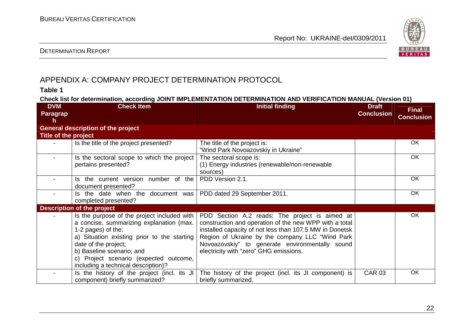

#### DETERMINATION REPORT

## APPENDIX A: COMPANY PROJECT DETERMINATION PROTOCOL

#### **Table 1**

**Check list for determination, according JOINT IMPLEMENTATION DETERMINATION AND VERIFICATION MANUAL (Version 01)** 

| <b>DVM</b>           | <b>Check Item</b>                           | <b>Initial finding</b>                                  | <b>Draft</b>      | <b>Final</b>      |
|----------------------|---------------------------------------------|---------------------------------------------------------|-------------------|-------------------|
| <b>Paragrap</b>      |                                             |                                                         | <b>Conclusion</b> | <b>Conclusion</b> |
| h.                   |                                             |                                                         |                   |                   |
|                      | <b>General description of the project</b>   |                                                         |                   |                   |
| Title of the project |                                             |                                                         |                   |                   |
|                      | Is the title of the project presented?      | The title of the project is:                            |                   | OK                |
|                      |                                             | "Wind Park Novoazovskiy in Ukraine"                     |                   |                   |
|                      | Is the sectoral scope to which the project  | The sectoral scope is:                                  |                   | OK.               |
|                      | pertains presented?                         | (1) Energy industries (renewable/non-renewable          |                   |                   |
|                      |                                             | sources)                                                |                   |                   |
|                      | Is the current version number of the        | PDD Version 2.1.                                        |                   | OK.               |
|                      | document presented?                         |                                                         |                   |                   |
|                      | Is the date when the document was           | PDD dated 29 September 2011.                            |                   | OK                |
|                      | completed presented?                        |                                                         |                   |                   |
|                      | <b>Description of the project</b>           |                                                         |                   |                   |
|                      | Is the purpose of the project included with | PDD Section A.2 reads: The project is aimed at          |                   | OK                |
|                      | a concise, summarizing explanation (max.    | construction and operation of the new WPP with a total  |                   |                   |
|                      | 1-2 pages) of the:                          | installed capacity of not less than 107.5 MW in Donetsk |                   |                   |
|                      | a) Situation existing prior to the starting | Region of Ukraine by the company LLC "Wind Park         |                   |                   |
|                      | date of the project;                        | Novoazovskiy" to generate environmentally sound         |                   |                   |
|                      | b) Baseline scenario; and                   | electricity with "zero" GHG emissions.                  |                   |                   |
|                      | c) Project scenario (expected outcome,      |                                                         |                   |                   |
|                      | including a technical description)?         |                                                         |                   |                   |
|                      | Is the history of the project (incl. its JI | The history of the project (incl. its JI component) is  | <b>CAR 03</b>     | OK                |
|                      | component) briefly summarized?              | briefly summarized.                                     |                   |                   |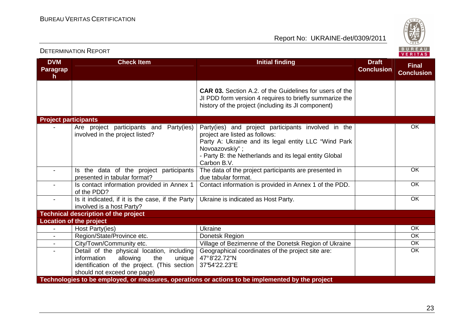Report No: UKRAINE-det/0309/2011



#### **DVM Paragraph Check Item Initial finding Check Item Initial finding Check Item Initial finding Initial finding Draft Conclusion Final ConclusionCAR 03.** Section A.2. of the Guidelines for users of the JI PDD form version 4 requires to briefly summarize the history of the project (including its JI component)**Project participants** - Are project participants and Party(ies) involved in the project listed? Party(ies) and project participants involved in theproject are listed as follows: Party A: Ukraine and its legal entity LLC "Wind Park Novoazovskiy" ; - Party B: the Netherlands and its legal entity Global Carbon B.V. The data of the project participants are presented in OK- Is the data of the project participants presented in tabular format? - | Is contact information provided in Annex 1 due tabular format. Contact information is provided in Annex 1 of the PDD.  $\vert$  OK OKof the PDD? - | Is it indicated, if it is the case, if the Party involved is a host Party? **Technical description of the project** Ukraine is indicated as Host Party. **Location of the project** Host Party(ies) - Host Party(ies) Ukraine OK $\overline{OK}$ - Region/State/Province etc. Donetsk Region OK City/Town/Community etc. <br>
Village of Bezimenne of the Donetsk Region of Ukraine OKDetail of the physical location, including information allowing the unique identification of the project. (This section should not exceed one page) **Technologies to be employed, or measures, operations or actions to be implemented by the project** Geographical coordinates of the project site are: 47° 8'22.72"N 37°54'22.23"E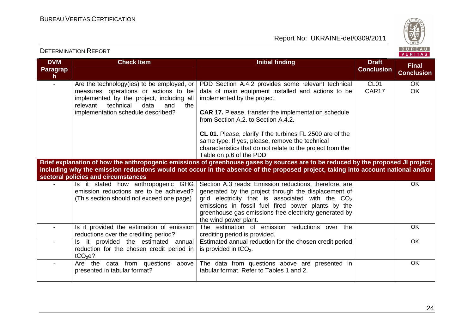

| <b>DVM</b>                      | <b>Check Item</b>                                                                                                                                                                                                     | Initial finding                                                                                                                                                                                                                                                                                                                                                                                                                                               | <b>Draft</b>              | <b>Final</b>           |
|---------------------------------|-----------------------------------------------------------------------------------------------------------------------------------------------------------------------------------------------------------------------|---------------------------------------------------------------------------------------------------------------------------------------------------------------------------------------------------------------------------------------------------------------------------------------------------------------------------------------------------------------------------------------------------------------------------------------------------------------|---------------------------|------------------------|
| <b>Paragrap</b><br>$\mathsf{h}$ |                                                                                                                                                                                                                       |                                                                                                                                                                                                                                                                                                                                                                                                                                                               | <b>Conclusion</b>         | <b>Conclusion</b>      |
|                                 | Are the technology(ies) to be employed, or<br>measures, operations or actions to be<br>implemented by the project, including all<br>relevant<br>technical<br>data<br>and<br>the<br>implementation schedule described? | PDD Section A.4.2 provides some relevant technical<br>data of main equipment installed and actions to be<br>implemented by the project.<br><b>CAR 17.</b> Please, transfer the implementation schedule<br>from Section A.2, to Section A.4.2.<br><b>CL 01.</b> Please, clarify if the turbines FL 2500 are of the<br>same type. If yes, please, remove the technical<br>characteristics that do not relate to the project from the<br>Table on p.6 of the PDD | CL <sub>01</sub><br>CAR17 | <b>OK</b><br><b>OK</b> |
|                                 | sectoral policies and circumstances                                                                                                                                                                                   | Brief explanation of how the anthropogenic emissions of greenhouse gases by sources are to be reduced by the proposed JI project,<br>including why the emission reductions would not occur in the absence of the proposed project, taking into account national and/or                                                                                                                                                                                        |                           |                        |
|                                 | Is it stated how anthropogenic GHG<br>emission reductions are to be achieved?<br>(This section should not exceed one page)                                                                                            | Section A.3 reads: Emission reductions, therefore, are<br>generated by the project through the displacement of<br>grid electricity that is associated with the $CO2$<br>emissions in fossil fuel fired power plants by the<br>greenhouse gas emissions-free electricity generated by<br>the wind power plant.                                                                                                                                                 |                           | <b>OK</b>              |
| $\blacksquare$                  | Is it provided the estimation of emission<br>reductions over the crediting period?                                                                                                                                    | The estimation of emission reductions over the<br>crediting period is provided.                                                                                                                                                                                                                                                                                                                                                                               |                           | <b>OK</b>              |
| $\blacksquare$                  | Is it provided the estimated annual<br>reduction for the chosen credit period in<br>tCO <sub>2</sub> e?                                                                                                               | Estimated annual reduction for the chosen credit period<br>is provided in $tCO2$ .                                                                                                                                                                                                                                                                                                                                                                            |                           | <b>OK</b>              |
| $\blacksquare$                  | Are the data from questions above<br>presented in tabular format?                                                                                                                                                     | The data from questions above are presented in<br>tabular format. Refer to Tables 1 and 2.                                                                                                                                                                                                                                                                                                                                                                    |                           | OK                     |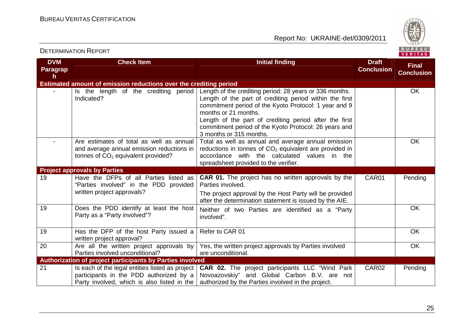

| <b>DVM</b>      | <b>Check Item</b>                                                                                                                         | <b>Initial finding</b>                                                                                                                                                                                   | <b>Draft</b>      |                                   |
|-----------------|-------------------------------------------------------------------------------------------------------------------------------------------|----------------------------------------------------------------------------------------------------------------------------------------------------------------------------------------------------------|-------------------|-----------------------------------|
| <b>Paragrap</b> |                                                                                                                                           |                                                                                                                                                                                                          | <b>Conclusion</b> | <b>Final</b><br><b>Conclusion</b> |
| h               |                                                                                                                                           |                                                                                                                                                                                                          |                   |                                   |
|                 | Estimated amount of emission reductions over the crediting period                                                                         |                                                                                                                                                                                                          |                   |                                   |
|                 | Is the length of the crediting period<br>Indicated?                                                                                       | Length of the crediting period: 28 years or 336 months.<br>Length of the part of crediting period within the first<br>commitment period of the Kyoto Protocol: 1 year and 9<br>months or 21 months.      |                   | <b>OK</b>                         |
|                 |                                                                                                                                           | Length of the part of crediting period after the first<br>commitment period of the Kyoto Protocol: 26 years and<br>3 months or 315 months.                                                               |                   |                                   |
|                 | Are estimates of total as well as annual<br>and average annual emission reductions in<br>tonnes of $CO2$ equivalent provided?             | Total as well as annual and average annual emission<br>reductions in tonnes of $CO2$ equivalent are provided in<br>accordance with the calculated values in the<br>spreadsheet provided to the verifier. |                   | <b>OK</b>                         |
|                 | <b>Project approvals by Parties</b>                                                                                                       |                                                                                                                                                                                                          |                   |                                   |
| 19              | Have the DFPs of all Parties listed as<br>"Parties involved" in the PDD provided                                                          | <b>CAR 01.</b> The project has no written approvals by the<br>Parties involved.                                                                                                                          | CAR01             | Pending                           |
|                 | written project approvals?                                                                                                                | The project approval by the Host Party will be provided<br>after the determination statement is issued by the AIE.                                                                                       |                   |                                   |
| 19              | Does the PDD identify at least the host<br>Party as a "Party involved"?                                                                   | Neither of two Parties are identified as a "Party<br>involved".                                                                                                                                          |                   | <b>OK</b>                         |
| 19              | Has the DFP of the host Party issued a<br>written project approval?                                                                       | Refer to CAR 01                                                                                                                                                                                          |                   | <b>OK</b>                         |
| 20              | Are all the written project approvals by<br>Parties involved unconditional?                                                               | Yes, the written project approvals by Parties involved<br>are unconditional.                                                                                                                             |                   | <b>OK</b>                         |
|                 | Authorization of project participants by Parties involved                                                                                 |                                                                                                                                                                                                          |                   |                                   |
| 21              | Is each of the legal entities listed as project<br>participants in the PDD authorized by a<br>Party involved, which is also listed in the | <b>CAR 02.</b> The project participants LLC "Wind Park<br>Novoazovskiy" and Global Carbon B.V. are not<br>authorized by the Parties involved in the project.                                             | CAR <sub>02</sub> | Pending                           |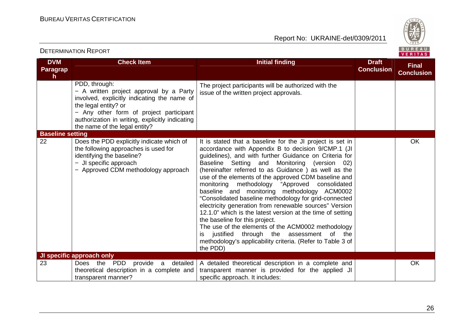

| <b>DETERMINATION REPORT</b>         |                                                                                                                                                                                                                                                                |                                                                                                                                                                                                                                                                                                                                                                                                                                                                                                                                                                                                                                                                                                                                                                                                                                                      | BUREAU<br><b>VERITAS</b>          |                                   |
|-------------------------------------|----------------------------------------------------------------------------------------------------------------------------------------------------------------------------------------------------------------------------------------------------------------|------------------------------------------------------------------------------------------------------------------------------------------------------------------------------------------------------------------------------------------------------------------------------------------------------------------------------------------------------------------------------------------------------------------------------------------------------------------------------------------------------------------------------------------------------------------------------------------------------------------------------------------------------------------------------------------------------------------------------------------------------------------------------------------------------------------------------------------------------|-----------------------------------|-----------------------------------|
| <b>DVM</b><br><b>Paragrap</b><br>h. | <b>Check Item</b>                                                                                                                                                                                                                                              | <b>Initial finding</b>                                                                                                                                                                                                                                                                                                                                                                                                                                                                                                                                                                                                                                                                                                                                                                                                                               | <b>Draft</b><br><b>Conclusion</b> | <b>Final</b><br><b>Conclusion</b> |
|                                     | PDD, through:<br>- A written project approval by a Party<br>involved, explicitly indicating the name of<br>the legal entity? or<br>- Any other form of project participant<br>authorization in writing, explicitly indicating<br>the name of the legal entity? | The project participants will be authorized with the<br>issue of the written project approvals.                                                                                                                                                                                                                                                                                                                                                                                                                                                                                                                                                                                                                                                                                                                                                      |                                   |                                   |
| <b>Baseline setting</b>             |                                                                                                                                                                                                                                                                |                                                                                                                                                                                                                                                                                                                                                                                                                                                                                                                                                                                                                                                                                                                                                                                                                                                      |                                   |                                   |
| 22                                  | Does the PDD explicitly indicate which of<br>the following approaches is used for<br>identifying the baseline?<br>- JI specific approach<br>- Approved CDM methodology approach                                                                                | It is stated that a baseline for the JI project is set in<br>accordance with Appendix B to decision 9/CMP.1 (JI<br>guidelines), and with further Guidance on Criteria for<br>Baseline Setting and Monitoring (version 02)<br>(hereinafter referred to as Guidance) as well as the<br>use of the elements of the approved CDM baseline and<br>monitoring methodology<br>"Approved<br>consolidated<br>baseline and monitoring methodology ACM0002<br>"Consolidated baseline methodology for grid-connected<br>electricity generation from renewable sources" Version<br>12.1.0" which is the latest version at the time of setting<br>the baseline for this project.<br>The use of the elements of the ACM0002 methodology<br>justified through the assessment of the<br>İS.<br>methodology's applicability criteria. (Refer to Table 3 of<br>the PDD) |                                   | OK                                |
| 23                                  | <b>JI specific approach only</b><br><b>Does</b><br><b>PDD</b><br>the<br>provide<br>detailed<br>a a                                                                                                                                                             |                                                                                                                                                                                                                                                                                                                                                                                                                                                                                                                                                                                                                                                                                                                                                                                                                                                      |                                   | OK                                |
|                                     | theoretical description in a complete and<br>transparent manner?                                                                                                                                                                                               | A detailed theoretical description in a complete and<br>transparent manner is provided for the applied JI<br>specific approach. It includes:                                                                                                                                                                                                                                                                                                                                                                                                                                                                                                                                                                                                                                                                                                         |                                   |                                   |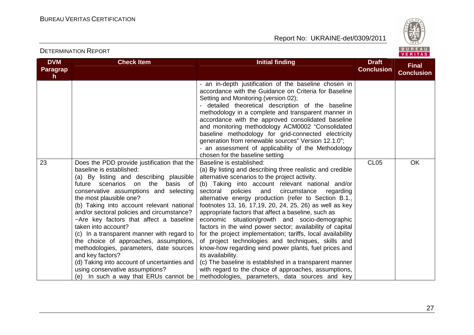

| <b>DVM</b><br>Paragrap | <b>Check Item</b>                                                                                                                                                                                                                                                                                                                                                                                                                                                                                                                                                                                                                                                              | <b>Initial finding</b>                                                                                                                                                                                                                                                                                                                                                                                                                                                                                                                                                                                                                                                                                                                                                                                                                                                                                                     | <b>Draft</b><br><b>Conclusion</b> | <b>Final</b><br><b>Conclusion</b> |
|------------------------|--------------------------------------------------------------------------------------------------------------------------------------------------------------------------------------------------------------------------------------------------------------------------------------------------------------------------------------------------------------------------------------------------------------------------------------------------------------------------------------------------------------------------------------------------------------------------------------------------------------------------------------------------------------------------------|----------------------------------------------------------------------------------------------------------------------------------------------------------------------------------------------------------------------------------------------------------------------------------------------------------------------------------------------------------------------------------------------------------------------------------------------------------------------------------------------------------------------------------------------------------------------------------------------------------------------------------------------------------------------------------------------------------------------------------------------------------------------------------------------------------------------------------------------------------------------------------------------------------------------------|-----------------------------------|-----------------------------------|
| h.                     |                                                                                                                                                                                                                                                                                                                                                                                                                                                                                                                                                                                                                                                                                | - an in-depth justification of the baseline chosen in<br>accordance with the Guidance on Criteria for Baseline<br>Setting and Monitoring (version 02);<br>detailed theoretical description of the baseline<br>methodology in a complete and transparent manner in<br>accordance with the approved consolidated baseline<br>and monitoring methodology ACM0002 "Consolidated<br>baseline methodology for grid-connected electricity<br>generation from renewable sources" Version 12.1.0";<br>- an assessment of applicability of the Methodology<br>chosen for the baseline setting                                                                                                                                                                                                                                                                                                                                        |                                   |                                   |
| 23                     | Does the PDD provide justification that the<br>baseline is established:<br>(a) By listing and describing plausible<br>future scenarios on the<br>basis of<br>conservative assumptions and selecting<br>the most plausible one?<br>(b) Taking into account relevant national<br>and/or sectoral policies and circumstance?<br>-Are key factors that affect a baseline<br>taken into account?<br>(c) In a transparent manner with regard to<br>the choice of approaches, assumptions,<br>methodologies, parameters, date sources<br>and key factors?<br>(d) Taking into account of uncertainties and<br>using conservative assumptions?<br>(e) In such a way that ERUs cannot be | Baseline is established:<br>(a) By listing and describing three realistic and credible<br>alternative scenarios to the project activity.<br>(b) Taking into account relevant national and/or<br>sectoral policies<br>and<br>circumstance<br>regarding<br>alternative energy production (refer to Section B.1.,<br>footnotes 13, 16, 17,19, 20, 24, 25, 26) as well as key<br>appropriate factors that affect a baseline, such as<br>economic situation/growth and socio-demographic<br>factors in the wind power sector; availability of capital<br>for the project implementation; tariffs, local availability<br>of project technologies and techniques, skills and<br>know-how regarding wind power plants, fuel prices and<br>its availability.<br>(c) The baseline is established in a transparent manner<br>with regard to the choice of approaches, assumptions,<br>methodologies, parameters, data sources and key | CL <sub>05</sub>                  | <b>OK</b>                         |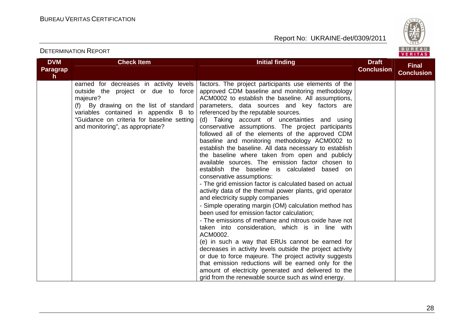

| <b>DVM</b><br><b>Paragrap</b><br>$\mathsf{h}$ | <b>Check Item</b>                                                                                                                                                                                                                                                 | <b>Initial finding</b>                                                                                                                                                                                                                                                                                                                                                                                                                                                                                                                                                                                                                                                                                                                                                                                                                                                                                                                                                                                                                                                                                                                                                                                                                                                                                                                                                                                                                                             | <b>Draft</b><br><b>Conclusion</b> | <b>Final</b><br><b>Conclusion</b> |
|-----------------------------------------------|-------------------------------------------------------------------------------------------------------------------------------------------------------------------------------------------------------------------------------------------------------------------|--------------------------------------------------------------------------------------------------------------------------------------------------------------------------------------------------------------------------------------------------------------------------------------------------------------------------------------------------------------------------------------------------------------------------------------------------------------------------------------------------------------------------------------------------------------------------------------------------------------------------------------------------------------------------------------------------------------------------------------------------------------------------------------------------------------------------------------------------------------------------------------------------------------------------------------------------------------------------------------------------------------------------------------------------------------------------------------------------------------------------------------------------------------------------------------------------------------------------------------------------------------------------------------------------------------------------------------------------------------------------------------------------------------------------------------------------------------------|-----------------------------------|-----------------------------------|
|                                               | earned for decreases in activity levels<br>outside the project or due to force<br>majeure?<br>By drawing on the list of standard<br>(f)<br>variables contained in appendix B to<br>"Guidance on criteria for baseline setting<br>and monitoring", as appropriate? | factors. The project participants use elements of the<br>approved CDM baseline and monitoring methodology<br>ACM0002 to establish the baseline. All assumptions,<br>parameters, data sources and key factors are<br>referenced by the reputable sources.<br>(d) Taking account of uncertainties and using<br>conservative assumptions. The project participants<br>followed all of the elements of the approved CDM<br>baseline and monitoring methodology ACM0002 to<br>establish the baseline. All data necessary to establish<br>the baseline where taken from open and publicly<br>available sources. The emission factor chosen to<br>establish the baseline is calculated based on<br>conservative assumptions:<br>- The grid emission factor is calculated based on actual<br>activity data of the thermal power plants, grid operator<br>and electricity supply companies<br>- Simple operating margin (OM) calculation method has<br>been used for emission factor calculation;<br>- The emissions of methane and nitrous oxide have not<br>taken into consideration, which is in line with<br>ACM0002.<br>(e) in such a way that ERUs cannot be earned for<br>decreases in activity levels outside the project activity<br>or due to force majeure. The project activity suggests<br>that emission reductions will be earned only for the<br>amount of electricity generated and delivered to the<br>grid from the renewable source such as wind energy. |                                   |                                   |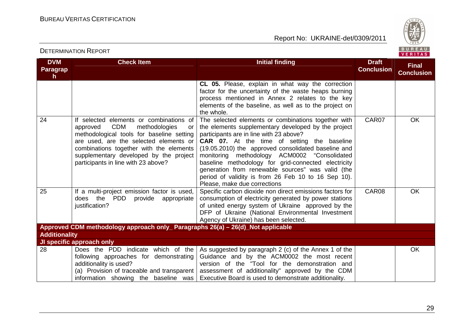

#### **DVM Paragraph Check Item Initial finding Check Item Initial finding Check Item Initial finding Check Item Initial finding Check Item Initial finding Check Item Initial finding Check Item Initial finding Check Item Initial finding Check Conclusion Final ConclusionCL 05.** Please, explain in what way the correction factor for the uncertainty of the waste heaps burning process mentioned in Annex 2 relates to the key elements of the baseline, as well as to the project on the whole. The selected elements or combinations together with24 If selected elements or combinations of approved CDM methodologies or methodological tools for baseline setting are used, are the selected elements or combinations together with the elements supplementary developed by the project participants in line with 23 above? the elements supplementary developed by the projectparticipants are in line with 23 above? **CAR 07.** At the time of setting the baseline (19.05.2010) the approved consolidated baseline and monitoring methodology ACM0002 "Consolidated baseline methodology for grid-connected electricity generation from renewable sources" was valid (the period of validity is from 26 Feb 10 to 16 Sep 10).Please, make due corrections Specific carbon dioxide non direct emissions factors for CAR07 OK 25 If a multi-project emission factor is used, does the PDD provide appropriate justification? consumption of electricity generated by power stations of united energy system of Ukraine approved by the DFP of Ukraine (National Environmental Investment Agency of Ukraine) has been selected.CAR08 OK **Approved CDM methodology approach only\_ Paragraphs 26(a) – 26(d)\_Not applicable Additionality JI specific approach only**  28 Does the PDD indicate which of the following approaches for demonstrating additionality is used? (a) Provision of traceable and transparent information showing the baseline was As suggested by paragraph 2 (c) of the Annex 1 of the Guidance and by the ACM0002 the most recent version of the "Tool for the demonstration and assessment of additionality" approved by the CDM Executive Board is used to demonstrate additionality. **OK**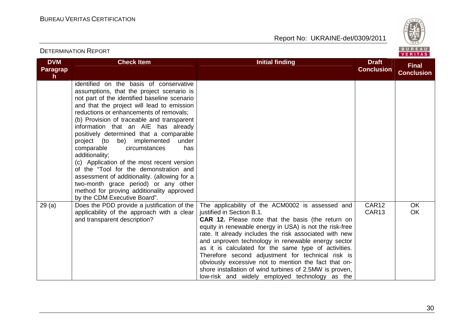Report No: UKRAINE-det/0309/2011



#### **DVM Paragraph Check Item Initial finding Check Item Initial finding Check Item Initial finding Check Item Initial finding Check Item Initial finding Check Item Initial finding Check Item Initial finding Check Item Initial finding Check Conclusion Final Conclusion**identified on the basis of conservative assumptions, that the project scenario is not part of the identified baseline scenario and that the project will lead to emission reductions or enhancements of removals; (b) Provision of traceable and transparent information that an AIE has already positively determined that a comparable under project (to be) implemented has comparable circumstances additionality; (c) Application of the most recent version of the "Tool for the demonstration and assessment of additionality. (allowing for a two-month grace period) or any other method for proving additionality approved by the CDM Executive Board".  $29$  (a)  $\Box$  Does the PDD provide a justification of the applicability of the approach with a clear and transparent description? The applicability of the ACM0002 is assessed and justified in Section B.1. **CAR 12.** Please note that the basis (the return on equity in renewable energy in USA) is not the risk-free rate. It already includes the risk associated with new and unproven technology in renewable energy sector as it is calculated for the same type of activities. Therefore second adjustment for technical risk is obviously excessive not to mention the fact that on shore installation of wind turbines of 2.5MW is proven, low-risk and widely employed technology as the CAR<sub>12</sub> CAR13 **OK** OK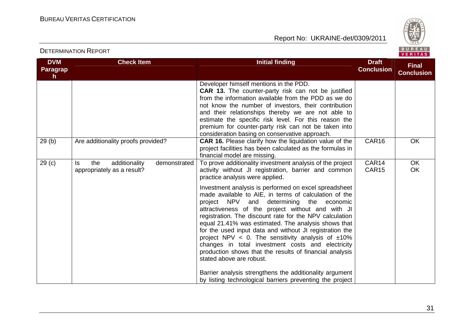

| <b>DVM</b><br>Paragrap<br>h | <b>Check Item</b>                                                         | <b>Initial finding</b>                                                                                                                                                                                                                                                                                                                                                                                                                                                                                                                                                                                                                                                                                                                                                                                                                                                             | <b>Draft</b><br><b>Conclusion</b> | <b>Final</b><br><b>Conclusion</b> |
|-----------------------------|---------------------------------------------------------------------------|------------------------------------------------------------------------------------------------------------------------------------------------------------------------------------------------------------------------------------------------------------------------------------------------------------------------------------------------------------------------------------------------------------------------------------------------------------------------------------------------------------------------------------------------------------------------------------------------------------------------------------------------------------------------------------------------------------------------------------------------------------------------------------------------------------------------------------------------------------------------------------|-----------------------------------|-----------------------------------|
|                             |                                                                           | Developer himself mentions in the PDD.<br><b>CAR 13.</b> The counter-party risk can not be justified<br>from the information available from the PDD as we do<br>not know the number of investors, their contribution<br>and their relationships thereby we are not able to<br>estimate the specific risk level. For this reason the<br>premium for counter-party risk can not be taken into<br>consideration basing on conservative approach.                                                                                                                                                                                                                                                                                                                                                                                                                                      |                                   |                                   |
| 29(b)                       | Are additionality proofs provided?                                        | <b>CAR 16.</b> Please clarify how the liquidation value of the<br>project facilities has been calculated as the formulas in<br>financial model are missing.                                                                                                                                                                                                                                                                                                                                                                                                                                                                                                                                                                                                                                                                                                                        | CAR16                             | OK                                |
| 29 <sub>(c)</sub>           | the<br>additionality<br>demonstrated<br>ls.<br>appropriately as a result? | To prove additionality investment analysis of the project<br>activity without JI registration, barrier and common<br>practice analysis were applied.<br>Investment analysis is performed on excel spreadsheet<br>made available to AIE, in terms of calculation of the<br>project NPV and determining the economic<br>attractiveness of the project without and with JI<br>registration. The discount rate for the NPV calculation<br>equal 21.41% was estimated. The analysis shows that<br>for the used input data and without JI registration the<br>project NPV < 0. The sensitivity analysis of $\pm 10\%$<br>changes in total investment costs and electricity<br>production shows that the results of financial analysis<br>stated above are robust.<br>Barrier analysis strengthens the additionality argument<br>by listing technological barriers preventing the project | CAR14<br>CAR15                    | <b>OK</b><br><b>OK</b>            |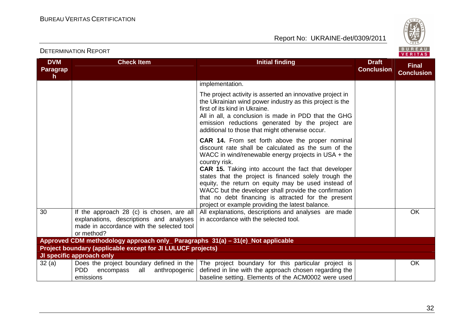

| <b>DVM</b>                                                                      | <b>Check Item</b>                                                                                                                               | <b>Initial finding</b>                                                                                                                                                                                                                                                                                                                                                                                                                                                                                                           | <b>Draft</b>      | <b>Final</b>      |  |  |
|---------------------------------------------------------------------------------|-------------------------------------------------------------------------------------------------------------------------------------------------|----------------------------------------------------------------------------------------------------------------------------------------------------------------------------------------------------------------------------------------------------------------------------------------------------------------------------------------------------------------------------------------------------------------------------------------------------------------------------------------------------------------------------------|-------------------|-------------------|--|--|
| Paragrap<br>h.                                                                  |                                                                                                                                                 |                                                                                                                                                                                                                                                                                                                                                                                                                                                                                                                                  | <b>Conclusion</b> | <b>Conclusion</b> |  |  |
|                                                                                 |                                                                                                                                                 | implementation.                                                                                                                                                                                                                                                                                                                                                                                                                                                                                                                  |                   |                   |  |  |
|                                                                                 |                                                                                                                                                 | The project activity is asserted an innovative project in<br>the Ukrainian wind power industry as this project is the<br>first of its kind in Ukraine.<br>All in all, a conclusion is made in PDD that the GHG<br>emission reductions generated by the project are<br>additional to those that might otherwise occur.                                                                                                                                                                                                            |                   |                   |  |  |
|                                                                                 |                                                                                                                                                 | CAR 14. From set forth above the proper nominal<br>discount rate shall be calculated as the sum of the<br>WACC in wind/renewable energy projects in USA + the<br>country risk.<br><b>CAR 15.</b> Taking into account the fact that developer<br>states that the project is financed solely trough the<br>equity, the return on equity may be used instead of<br>WACC but the developer shall provide the confirmation<br>that no debt financing is attracted for the present<br>project or example providing the latest balance. |                   |                   |  |  |
| 30                                                                              | If the approach 28 (c) is chosen, are all<br>explanations, descriptions and analyses<br>made in accordance with the selected tool<br>or method? | All explanations, descriptions and analyses are made<br>in accordance with the selected tool.                                                                                                                                                                                                                                                                                                                                                                                                                                    |                   | OK                |  |  |
| Approved CDM methodology approach only_ Paragraphs 31(a) - 31(e)_Not applicable |                                                                                                                                                 |                                                                                                                                                                                                                                                                                                                                                                                                                                                                                                                                  |                   |                   |  |  |
|                                                                                 | <b>Project boundary (applicable except for JI LULUCF projects)</b>                                                                              |                                                                                                                                                                                                                                                                                                                                                                                                                                                                                                                                  |                   |                   |  |  |
|                                                                                 | JI specific approach only                                                                                                                       |                                                                                                                                                                                                                                                                                                                                                                                                                                                                                                                                  |                   |                   |  |  |
| 32(a)                                                                           | Does the project boundary defined in the<br>PDD.<br>all<br>anthropogenic<br>encompass<br>emissions                                              | The project boundary for this particular project is<br>defined in line with the approach chosen regarding the<br>baseline setting. Elements of the ACM0002 were used                                                                                                                                                                                                                                                                                                                                                             |                   | <b>OK</b>         |  |  |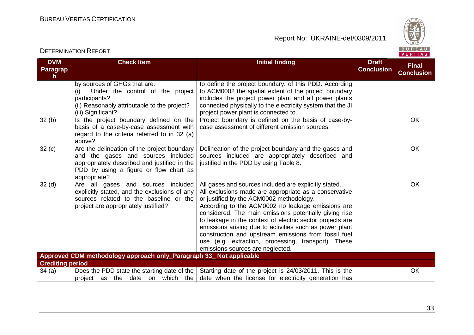

#### **DVM Paragraph Check Item Initial finding Check Item Initial finding Check Item Initial finding Initial finding Draft Conclusion Final Conclusion**by sources of GHGs that are: (i) Under the control of the project participants? (ii) Reasonably attributable to the project? (iii) Significant?  $32$  (b)  $\parallel$  Is the project boundary defined on the to define the project boundary. of this PDD. According to ACM0002 the spatial extent of the project boundary includes the project power plant and all power plants connected physically to the electricity system that the JI project power plant is connected to. Project boundary is defined on the basis of case-by-<br>case assessment of different emission sources. basis of a case-by-case assessment with regard to the criteria referred to in 32 (a) above?  $32 (c)$  Are the delineation of the project boundary and the gases and sources included appropriately described and justified in the PDD by using a figure or flow chart as appropriate? 32 (d) Are all gases and sources included Delineation of the project boundary and the gases and sources included are appropriately described and justified in the PDD by using Table 8. OK explicitly stated, and the exclusions of any sources related to the baseline or the project are appropriately justified? All gases and sources included are explicitly stated. All exclusions made are appropriate as a conservative or justified by the ACM0002 methodology. According to the ACM0002 no leakage emissions are considered. The main emissions potentially giving rise to leakage in the context of electric sector projects are emissions arising due to activities such as power plant construction and upstream emissions from fossil fuel use (e.g. extraction, processing, transport). Theseemissions sources are neglected. OK **Approved CDM methodology approach only\_Paragraph 33\_ Not applicable Crediting period**  34 (a) Does the PDD state the starting date of the project as the date on which the Starting date of the project is 24/03/2011. This is the date when the license for electricity generation has OK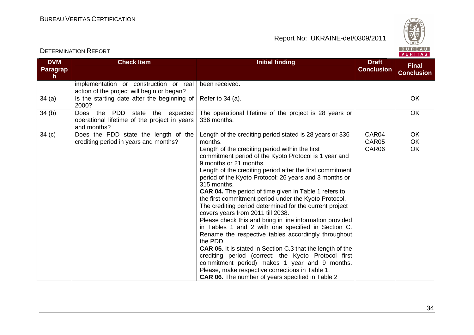

#### **DVM Paragraph Check Item Initial finding Check Item Initial finding Check Item Initial finding Check Item Initial finding Check Item Initial finding Check Item Initial finding Check Item Initial finding Check Item Initial finding Check Conclusion Final Conclusion**implementation or construction or real action of the project will begin or began? 34 (a)  $\vert$  Is the starting date after the beginning of Refer to 34 (a).  $\vert$  OK been received. 2000? 34 (b) Does the PDD state the expected operational lifetime of the project in years and months? 34 (c) Does the PDD state the length of the The operational lifetime of the project is 28 years or 336 months. **OK** crediting period in years and months? Length of the crediting period stated is 28 years or 336 months. Length of the crediting period within the first commitment period of the Kyoto Protocol is 1 year and 9 months or 21 months. Length of the crediting period after the first commitment period of the Kyoto Protocol: 26 years and 3 months or 315 months. **CAR 04.** The period of time given in Table 1 refers to the first commitment period under the Kyoto Protocol. The crediting period determined for the current project covers years from 2011 till 2038. Please check this and bring in line information provided in Tables 1 and 2 with one specified in Section C. Rename the respective tables accordingly throughoutthe PDD. **CAR 05.** It is stated in Section C.3 that the length of the crediting period (correct: the Kyoto Protocol first commitment period) makes 1 year and 9 months. Please, make respective corrections in Table 1. **CAR 06.** The number of years specified in Table 2 CAR04 CAR05 CAR06 **OK**  OK OK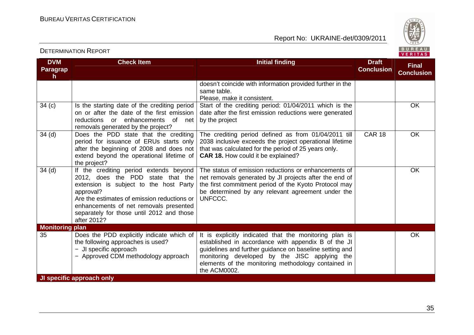Report No: UKRAINE-det/0309/2011



#### **DVM Paragraph Check Item Initial finding Check Item Initial finding Check Item Initial finding Check Item Initial finding Check Item Initial finding Check Item Initial finding Check Item Initial finding Check Item Initial finding Check Conclusion Final Conclusion**doesn't coincide with information provided further in the same table. Please, make it consistent. Start of the crediting period: 01/04/2011 which is the 34 (c) Is the starting date of the crediting period on or after the date of the first emission reductions or enhancements of net removals generated by the project?  $34$  (d)  $\sqrt{ }$  Does the PDD state that the crediting date after the first emission reductions were generated by the project  $\overline{OK}$  period for issuance of ERUs starts only after the beginning of 2008 and does not extend beyond the operational lifetime of the project? 34 (d) | If the crediting period extends beyond The crediting period defined as from 01/04/2011 till 2038 inclusive exceeds the project operational lifetime that was calculated for the period of 25 years only. **CAR 18.** How could it be explained? CAR 18 OK 2012, does the PDD state that the extension is subject to the host Party approval? Are the estimates of emission reductions or enhancements of net removals presented separately for those until 2012 and those after 2012? The status of emission reductions or enhancements of net removals generated by JI projects after the end of the first commitment period of the Kyoto Protocol may be determined by any relevant agreement under the UNFCCC. **OK Monitoring plan**  35 Does the PDD explicitly indicate which of the following approaches is used? − JI specific approach − Approved CDM methodology approach It is explicitly indicated that the monitoring plan is established in accordance with appendix B of the JI guidelines and further guidance on baseline setting and monitoring developed by the JISC applying the elements of the monitoring methodology contained inthe ACM0002. OK **JI specific approach only**

35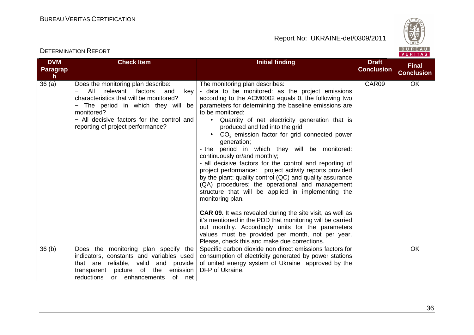

#### **DVM Paragraph**  $36(a)$ **Check Item Initial finding Check Item Initial finding Check Item Initial finding Check Item Initial finding Check Item Initial finding Check Item Initial finding Check Item Initial finding Check Item Initial finding Check Conclusion Final Conclusion**Does the monitoring plan describe: − All relevant factors and key characteristics that will be monitored? − The period in which they will be monitored? − All decisive factors for the control and reporting of project performance? The monitoring plan describes: - data to be monitored: as the project emissions according to the ACM0002 equals 0, the following two parameters for determining the baseline emissions are to be monitored: • Quantity of net electricity generation that is produced and fed into the grid  $\bullet$  CO<sub>2</sub> emission factor for grid connected power generation; - the period in which they will be monitored: continuously or/and monthly; - all decisive factors for the control and reporting of project performance: project activity reports provided by the plant; quality control (QC) and quality assurance (QA) procedures; the operational and management structure that will be applied in implementing the monitoring plan. **CAR 09.** It was revealed during the site visit, as well as it's mentioned in the PDD that monitoring will be carried out monthly. Accordingly units for the parameters values must be provided per month, not per year. Please, check this and make due corrections. Specific carbon dioxide non direct emissions factors for CAR09 OK 36 (b) Does the monitoring plan specify the indicators, constants and variables used that are reliable, valid and provide transparent picture of the emission of net reductions or enhancements consumption of electricity generated by power stations of united energy system of Ukraine approved by theDFP of Ukraine. **OK**

36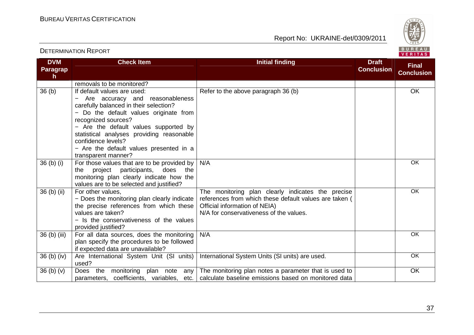

| <b>DVM</b><br>Paragrap            | <b>Check Item</b>                                             | <b>Initial finding</b>                                                                                      | <b>Draft</b><br><b>Conclusion</b> | <b>Final</b><br><b>Conclusion</b> |
|-----------------------------------|---------------------------------------------------------------|-------------------------------------------------------------------------------------------------------------|-----------------------------------|-----------------------------------|
| $\mathsf{h}$                      |                                                               |                                                                                                             |                                   |                                   |
| 36 <sub>(b)</sub>                 | removals to be monitored?<br>If default values are used:      | Refer to the above paragraph 36 (b)                                                                         |                                   | <b>OK</b>                         |
|                                   | Are accuracy and reasonableness                               |                                                                                                             |                                   |                                   |
|                                   | carefully balanced in their selection?                        |                                                                                                             |                                   |                                   |
|                                   | - Do the default values originate from                        |                                                                                                             |                                   |                                   |
|                                   | recognized sources?                                           |                                                                                                             |                                   |                                   |
|                                   | - Are the default values supported by                         |                                                                                                             |                                   |                                   |
|                                   | statistical analyses providing reasonable                     |                                                                                                             |                                   |                                   |
|                                   | confidence levels?                                            |                                                                                                             |                                   |                                   |
|                                   | - Are the default values presented in a                       |                                                                                                             |                                   |                                   |
|                                   | transparent manner?                                           |                                                                                                             |                                   |                                   |
| $36$ (b) (i)                      | For those values that are to be provided by $ $               | N/A                                                                                                         |                                   | OK                                |
|                                   | project participants,<br>does<br>the<br>the                   |                                                                                                             |                                   |                                   |
|                                   | monitoring plan clearly indicate how the                      |                                                                                                             |                                   |                                   |
|                                   | values are to be selected and justified?<br>For other values, |                                                                                                             |                                   | $\overline{OK}$                   |
| 36 (b) (ii)                       | - Does the monitoring plan clearly indicate                   | The monitoring plan clearly indicates the precise<br>references from which these default values are taken ( |                                   |                                   |
|                                   | the precise references from which these                       | Official information of NEIA)                                                                               |                                   |                                   |
|                                   | values are taken?                                             | N/A for conservativeness of the values.                                                                     |                                   |                                   |
|                                   | - Is the conservativeness of the values                       |                                                                                                             |                                   |                                   |
|                                   | provided justified?                                           |                                                                                                             |                                   |                                   |
| 36 (b) (iii)                      | For all data sources, does the monitoring                     | N/A                                                                                                         |                                   | OK                                |
|                                   | plan specify the procedures to be followed                    |                                                                                                             |                                   |                                   |
|                                   | if expected data are unavailable?                             |                                                                                                             |                                   |                                   |
| 36 <sub>(b)</sub> <sub>(iv)</sub> | Are International System Unit (SI units)                      | International System Units (SI units) are used.                                                             |                                   | OK                                |
|                                   | used?                                                         |                                                                                                             |                                   |                                   |
| 36 <sub>(b)</sub> <sub>(v)</sub>  | Does the<br>monitoring plan note<br>any                       | The monitoring plan notes a parameter that is used to                                                       |                                   | OK                                |
|                                   | parameters, coefficients, variables, etc.                     | calculate baseline emissions based on monitored data                                                        |                                   |                                   |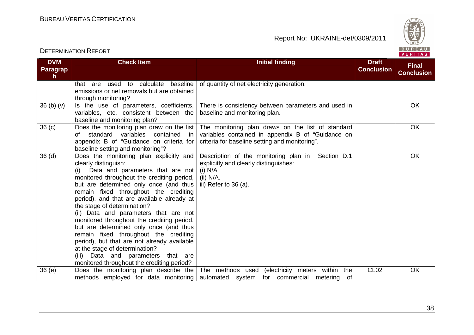Report No: UKRAINE-det/0309/2011



#### **DVM Paragraph Check Item Initial finding Check Item Initial finding Check Item Initial finding Check Item Initial finding Check Item Initial finding Check Item Initial finding Check Item Initial finding Check Item Initial finding Check Conclusion Final Conclusion**that are used to calculate baseline emissions or net removals but are obtained through monitoring?  $36$  (b) (v) Is the use of parameters, coefficients, of quantity of net electricity generation. variables, etc. consistent between the baseline and monitoring plan? 36 (c) Does the monitoring plan draw on the list There is consistency between parameters and used inbaseline and monitoring plan. **OK**  of standard variables contained in appendix B of "Guidance on criteria for baseline setting and monitoring"? 36 (d) Does the monitoring plan explicitly and The monitoring plan draws on the list of standard variables contained in appendix B of "Guidance on criteria for baseline setting and monitoring". **OK** clearly distinguish: (i) Data and parameters that are not monitored throughout the crediting period, but are determined only once (and thus remain fixed throughout the crediting period), and that are available already at the stage of determination? (ii) Data and parameters that are not monitored throughout the crediting period, but are determined only once (and thus remain fixed throughout the crediting period), but that are not already available at the stage of determination? (iii) Data and parameters that are monitored throughout the crediting period? 36 (e) Does the monitoring plan describe the Description of the monitoring plan in Section D.1 explicitly and clearly distinguishes: (i) N/A (ii) N/A. iii) Refer to 36 (a). **OK**  methods employed for data monitoring The methods used (electricity meters within the automated system for commercial metering of CL02 OK

38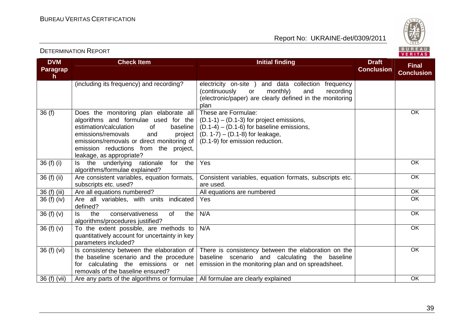

#### **DVM Paragraph Check Item Initial finding Check Item Initial finding Check Item Initial finding Initial finding Draft Conclusion Final Conclusion**(including its frequency) and recording?  $\Box$  electricity on-site ) and data collection frequency recordina (continuously or monthly) and (electronic/paper) are clearly defined in the monitoring plan These are Formulae: 36 (f) Does the monitoring plan elaborate all algorithms and formulae used for the haseline estimation/calculation of project emissions/removals and emissions/removals or direct monitoring of emission reductions from the project, leakage, as appropriate? 36 (f) (i)  $\vert$  is the underlying rationale for the (D.1-1) – (D.1-3) for project emissions, (D.1-4) – (D.1-6) for baseline emissions, (D. 1-7) – (D.1-8) for leakage, (D.1-9) for emission reduction. **OK** algorithms/formulae explained? 36 (f) (ii)  $\vert$  Are consistent variables, equation formats, Yes OKsubscripts etc. used? 36 (f) (iii) Are all equations numbered? All equations are numbered and a set of the oK Consistent variables, equation formats, subscripts etc. are used. All equations are numbered **OK**  $\overline{OK}$ 36 (f) (iv)  $\overline{\phantom{a}}$  Are all variables, with units indicated defined? the Yes OK $36$  (f) (v) Is the conservativeness of the algorithms/procedures justified? 36 (f) (v)  $\vert$  To the extent possible, are methods to N/A OK quantitatively account for uncertainty in key parameters included? 36 (f) (vi)  $\vert$  is consistency between the elaboration of N/A OK the baseline scenario and the procedure for calculating the emissions or net removals of the baseline ensured? 36 (f) (vii)  $\,$  Are any parts of the algorithms or formulae  $\,$  All formulae are clearly explained  $\,$ There is consistency between the elaboration on the baseline scenario and calculating the baseline emission in the monitoring plan and on spreadsheet.OK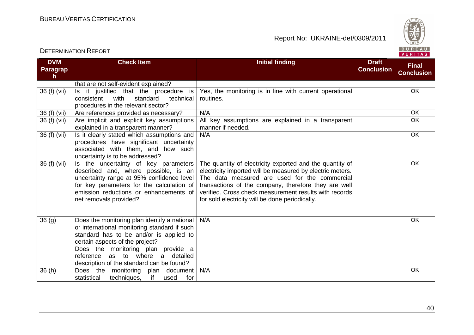Report No: UKRAINE-det/0309/2011



#### **DVM Paragraph Check Item Initial finding Check Item Initial finding Check Item Initial finding Check Item Initial finding Check Item Initial finding Check Item Initial finding Check Item Initial finding Check Item Initial finding Check Conclusion Final Conclusion**that are not self-evident explained? 36 (f) (vii)  $\vert$  is it justified that the procedure is technical consistent with standard procedures in the relevant sector? 36 (f) (vii) Are references provided as necessary?  $\parallel$  N/A  $\parallel$  OK Yes, the monitoring is in line with current operational routines. **OK**  OK36 (f) (vii) Are implicit and explicit key assumptions explained in a transparent manner? 36 (f) (vii)  $\vert$  is it clearly stated which assumptions and All key assumptions are explained in a transparent manner if needed. procedures have significant uncertainty associated with them, and how such uncertainty is to be addressed? 36 (f) (vii)  $\vert$  is the uncertainty of key parameters N/A OK described and, where possible, is an uncertainty range at 95% confidence level for key parameters for the calculation of emission reductions or enhancements of net removals provided? The quantity of electricity exported and the quantity of electricity imported will be measured by electric meters. The data measured are used for the commercial transactions of the company, therefore they are well verified. Cross check measurement results with records for sold electricity will be done periodically. **OK**  $36$  (g)  $\qquad$  Does the monitoring plan identify a national or international monitoring standard if such standard has to be and/or is applied to certain aspects of the project? Does the monitoring plan provide a reference as to where a detailed description of the standard can be found? 36 (h) Does the monitoring plan document N/A OK for statistical techniques, if used N/A OK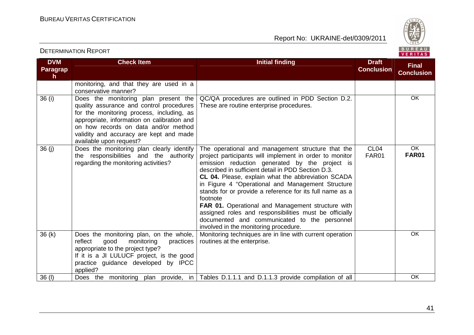Report No: UKRAINE-det/0309/2011



#### **DVM Paragraph Check Item Initial finding Check Item Initial finding Check Item Initial finding Check Item Initial finding Check Item Initial finding Check Item Initial finding Check Item Initial finding Check Item Initial finding Check Conclusion Final Conclusion**monitoring, and that they are used in a conservative manner? 36 (i) Does the monitoring plan present the quality assurance and control procedures for the monitoring process, including, as appropriate, information on calibration and on how records on data and/or method validity and accuracy are kept and made available upon request? 36 (j) Does the monitoring plan clearly identify QC/QA procedures are outlined in PDD Section D.2. These are routine enterprise procedures. OK the responsibilities and the authority regarding the monitoring activities? The operational and management structure that the project participants will implement in order to monitor emission reduction generated by the project is described in sufficient detail in PDD Section D.3. **CL 04.** Please, explain what the abbreviation SCADA in Figure 4 "Operational and Management Structure stands for or provide a reference for its full name as a footnote **FAR 01.** Operational and Management structure with assigned roles and responsibilities must be officially documented and communicated to the personnel involved in the monitoring procedure. Monitoring techniques are in line with current operation CL04 FAR01 OK **FAR01**  $36 (k)$  Does the monitoring plan, on the whole, reflect good monitoring practices appropriate to the project type? If it is a JI LULUCF project, is the good practice guidance developed by IPCC applied? 36 (l) | Does the monitoring plan provide, in | Tables D.1.1.1 and D.1.1.3 provide compilation of all | when the OK routines at the enterprise. **OK**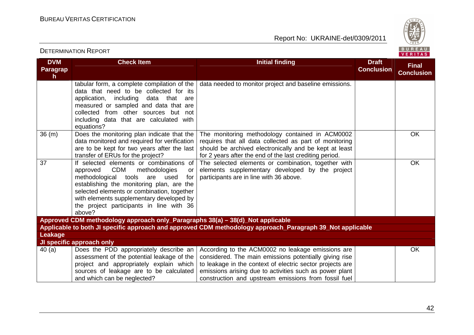Report No: UKRAINE-det/0309/2011



#### **DVM Paragraph Check Item Initial finding Check Item Initial finding Check Item Initial finding Initial finding Draft Conclusion Final Conclusion**tabular form, a complete compilation of the data that need to be collected for its application, including data that are measured or sampled and data that are collected from other sources but not including data that are calculated with equations? 36 (m) Does the monitoring plan indicate that the data needed to monitor project and baseline emissions. data monitored and required for verification are to be kept for two years after the last transfer of ERUs for the project? 37 If selected elements or combinations of The monitoring methodology contained in ACM0002 requires that all data collected as part of monitoring should be archived electronically and be kept at least for 2 years after the end of the last crediting period. The selected elements or combination, together with**OK** approved CDM methodologies or for methodological tools are used establishing the monitoring plan, are the selected elements or combination, together with elements supplementary developed by the project participants in line with 36 above? **Approved CDM methodology approach only\_Paragraphs 38(a) – 38(d)\_Not applicable**  elements supplementary developed by the project participants are in line with 36 above.**OK Applicable to both JI specific approach and approved CDM methodology approach\_Paragraph 39\_Not applicable Leakage JI specific approach only**  40 (a) Does the PDD appropriately describe an assessment of the potential leakage of the project and appropriately explain which sources of leakage are to be calculated and which can be neglected? According to the ACM0002 no leakage emissions are considered. The main emissions potentially giving rise to leakage in the context of electric sector projects are emissions arising due to activities such as power plant construction and upstream emissions from fossil fuel OK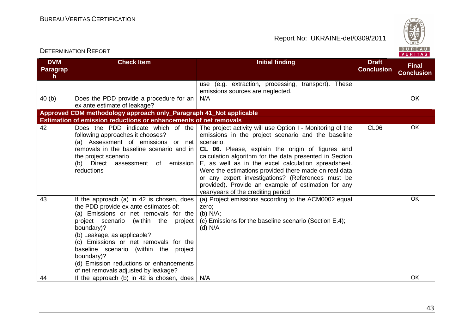

#### **DVM Paragraph Check Item Initial finding Check Item Initial finding Check Item Initial finding Check Item Initial finding Check Item Initial finding Check Item Initial finding Check Item Initial finding Check Item Initial finding Check Conclusion Final Conclusion**use (e.g. extraction, processing, transport). Theseemissions sources are neglected. 40 (b) Does the PDD provide a procedure for an ex ante estimate of leakage? **Approved CDM methodology approach only\_Paragraph 41\_Not applicable** N/A OK **Estimation of emission reductions or enhancements of net removals**  The project activity will use Option I - Monitoring of the 42 Does the PDD indicate which of the following approaches it chooses? (a) Assessment of emissions or net removals in the baseline scenario and in the project scenario (b) Direct assessment of emission reductions emissions in the project scenario and the baseline scenario. **CL 06.** Please, explain the origin of figures and calculation algorithm for the data presented in Section E, as well as in the excel calculation spreadsheet. Were the estimations provided there made on real data or any expert investigations? (References must be provided). Provide an example of estimation for anyyear/years of the crediting period (a) Project emissions according to the ACM0002 equal CL06 OK43 If the approach (a) in 42 is chosen, does the PDD provide ex ante estimates of: (a) Emissions or net removals for the project scenario (within the project boundary)? (b) Leakage, as applicable? (c) Emissions or net removals for the baseline scenario (within the project boundary)? (d) Emission reductions or enhancements of net removals adjusted by leakage? 44 If the approach (b) in 42 is chosen, does N/A COK zero; (b) N/A; (c) Emissions for the baseline scenario (Section E.4); (d) N/A OK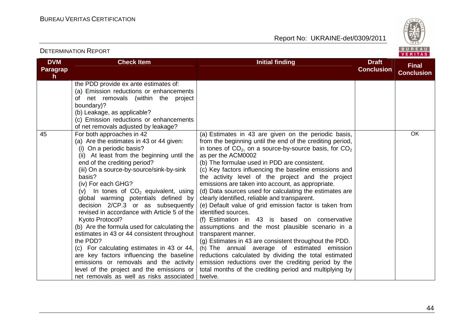Report No: UKRAINE-det/0309/2011



#### **DVM Paragraph Check Item Initial finding Check Item Initial finding Check Item Initial finding Check Item Initial finding Check Item Initial finding Check Item Initial finding Check Item Initial finding Check Item Initial finding Check Conclusion Final Conclusion**the PDD provide ex ante estimates of: (a) Emission reductions or enhancements of net removals (within the project boundary)? (b) Leakage, as applicable? (c) Emission reductions or enhancements of net removals adjusted by leakage? 45 For both approaches in 42 (a) Are the estimates in 43 or 44 given: (i) On a periodic basis? (ii) At least from the beginning until the end of the crediting period? (iii) On a source-by-source/sink-by-sink basis? (iv) For each GHG? (v) In tones of  $CO<sub>2</sub>$  equivalent, using global warming potentials defined by decision 2/CP.3 or as subsequently revised in accordance with Article 5 of the Kyoto Protocol? (b) Are the formula used for calculating the estimates in 43 or 44 consistent throughout the PDD? (c) For calculating estimates in 43 or 44, are key factors influencing the baseline emissions or removals and the activity level of the project and the emissions or net removals as well as risks associated (a) Estimates in 43 are given on the periodic basis, from the beginning until the end of the crediting period, in tones of  $CO<sub>2</sub>$ , on a source-by-source basis, for  $CO<sub>2</sub>$ as per the ACM0002 (b) The formulae used in PDD are consistent. (c) Key factors influencing the baseline emissions and the activity level of the project and the project emissions are taken into account, as appropriate. (d) Data sources used for calculating the estimates are clearly identified, reliable and transparent. (e) Default value of grid emission factor is taken from identified sources. (f) Estimation in 43 is based on conservative assumptions and the most plausible scenario in a transparent manner. (g) Estimates in 43 are consistent throughout the PDD. (h) The annual average of estimated emission reductions calculated by dividing the total estimated emission reductions over the crediting period by the total months of the crediting period and multiplying by twelve.OK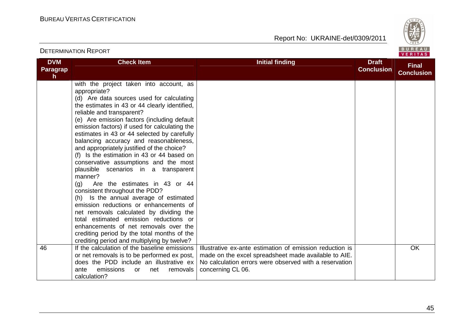

| <b>DVM</b><br><b>Paragrap</b><br>h. | <b>Check Item</b>                                                                                                                                                                                                                                                                                                                                                                                                                                                                                                                                                                                                                                                                                                                                                                                                                                                                                                                                             | <b>Initial finding</b>                                                                                                                                                                          | <b>Draft</b><br><b>Conclusion</b> | <b>Final</b><br><b>Conclusion</b> |
|-------------------------------------|---------------------------------------------------------------------------------------------------------------------------------------------------------------------------------------------------------------------------------------------------------------------------------------------------------------------------------------------------------------------------------------------------------------------------------------------------------------------------------------------------------------------------------------------------------------------------------------------------------------------------------------------------------------------------------------------------------------------------------------------------------------------------------------------------------------------------------------------------------------------------------------------------------------------------------------------------------------|-------------------------------------------------------------------------------------------------------------------------------------------------------------------------------------------------|-----------------------------------|-----------------------------------|
|                                     | with the project taken into account, as<br>appropriate?<br>(d) Are data sources used for calculating<br>the estimates in 43 or 44 clearly identified,<br>reliable and transparent?<br>(e) Are emission factors (including default<br>emission factors) if used for calculating the<br>estimates in 43 or 44 selected by carefully<br>balancing accuracy and reasonableness,<br>and appropriately justified of the choice?<br>(f) Is the estimation in 43 or 44 based on<br>conservative assumptions and the most<br>plausible scenarios in a transparent<br>manner?<br>Are the estimates in 43 or 44<br>(g)<br>consistent throughout the PDD?<br>(h) Is the annual average of estimated<br>emission reductions or enhancements of<br>net removals calculated by dividing the<br>total estimated emission reductions or<br>enhancements of net removals over the<br>crediting period by the total months of the<br>crediting period and multiplying by twelve? |                                                                                                                                                                                                 |                                   |                                   |
| 46                                  | If the calculation of the baseline emissions<br>or net removals is to be performed ex post,<br>does the PDD include an illustrative ex<br>ante<br>emissions<br>net<br>removals<br><b>or</b><br>calculation?                                                                                                                                                                                                                                                                                                                                                                                                                                                                                                                                                                                                                                                                                                                                                   | Illustrative ex-ante estimation of emission reduction is<br>made on the excel spreadsheet made available to AIE.<br>No calculation errors were observed with a reservation<br>concerning CL 06. |                                   | <b>OK</b>                         |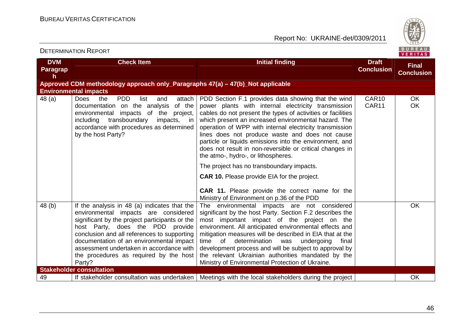

| <b>DVM</b><br><b>Paragrap</b><br>h | <b>Check Item</b>                                                                                                                                                                                                                                                                                                                                                     | <b>Initial finding</b>                                                                                                                                                                                                                                                                                                                                                                                                                                                                                        | <b>Draft</b><br><b>Conclusion</b> | <b>Final</b><br><b>Conclusion</b> |
|------------------------------------|-----------------------------------------------------------------------------------------------------------------------------------------------------------------------------------------------------------------------------------------------------------------------------------------------------------------------------------------------------------------------|---------------------------------------------------------------------------------------------------------------------------------------------------------------------------------------------------------------------------------------------------------------------------------------------------------------------------------------------------------------------------------------------------------------------------------------------------------------------------------------------------------------|-----------------------------------|-----------------------------------|
|                                    | Approved CDM methodology approach only_Paragraphs 47(a) - 47(b)_Not applicable                                                                                                                                                                                                                                                                                        |                                                                                                                                                                                                                                                                                                                                                                                                                                                                                                               |                                   |                                   |
|                                    | <b>Environmental impacts</b>                                                                                                                                                                                                                                                                                                                                          |                                                                                                                                                                                                                                                                                                                                                                                                                                                                                                               |                                   |                                   |
| 48 (a)                             | <b>PDD</b><br><b>Does</b><br>attach<br>the<br>list<br>and<br>documentation on the analysis<br>of the<br>environmental impacts of the project,<br>transboundary<br>impacts,<br>including<br>in i<br>accordance with procedures as determined<br>by the host Party?                                                                                                     | PDD Section F.1 provides data showing that the wind<br>power plants with internal electricity transmission<br>cables do not present the types of activities or facilities<br>which present an increased environmental hazard. The<br>operation of WPP with internal electricity transmission<br>lines does not produce waste and does not cause<br>particle or liquids emissions into the environment, and<br>does not result in non-reversible or critical changes in<br>the atmo-, hydro-, or lithospheres. | CAR10<br>CAR11                    | <b>OK</b><br><b>OK</b>            |
|                                    |                                                                                                                                                                                                                                                                                                                                                                       | The project has no transboundary impacts.                                                                                                                                                                                                                                                                                                                                                                                                                                                                     |                                   |                                   |
|                                    |                                                                                                                                                                                                                                                                                                                                                                       | <b>CAR 10.</b> Please provide EIA for the project.<br><b>CAR 11.</b> Please provide the correct name for the<br>Ministry of Environment on p.36 of the PDD                                                                                                                                                                                                                                                                                                                                                    |                                   |                                   |
| 48 (b)                             | If the analysis in 48 (a) indicates that the<br>environmental impacts are considered<br>significant by the project participants or the<br>host Party, does the PDD provide<br>conclusion and all references to supporting<br>documentation of an environmental impact<br>assessment undertaken in accordance with<br>the procedures as required by the host<br>Party? | The environmental impacts are not considered<br>significant by the host Party. Section F.2 describes the<br>most important impact of the project on the<br>environment. All anticipated environmental effects and<br>mitigation measures will be described in EIA that at the<br>of determination<br>time<br>undergoing<br>final<br>was<br>development process and will be subject to approval by<br>the relevant Ukrainian authorities mandated by the<br>Ministry of Environmental Protection of Ukraine.   |                                   | <b>OK</b>                         |
|                                    | <b>Stakeholder consultation</b>                                                                                                                                                                                                                                                                                                                                       |                                                                                                                                                                                                                                                                                                                                                                                                                                                                                                               |                                   |                                   |
| 49                                 | If stakeholder consultation was undertaken                                                                                                                                                                                                                                                                                                                            | Meetings with the local stakeholders during the project                                                                                                                                                                                                                                                                                                                                                                                                                                                       |                                   | <b>OK</b>                         |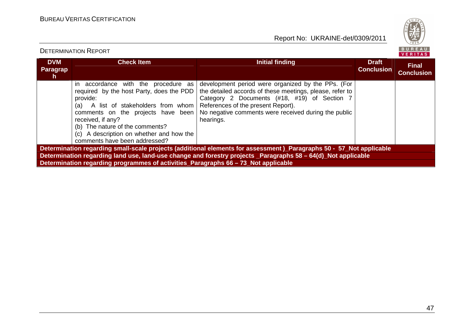

| <b>DVM</b><br><b>Paragrap</b><br>h.                                                                                 | <b>Check Item</b>                                                                                                                                                                                                                                                                                                     | Initial finding                                                                                                                                                                                                                                                           | <b>Draft</b><br><b>Conclusion</b> | <b>Final</b><br><b>Conclusion</b> |  |
|---------------------------------------------------------------------------------------------------------------------|-----------------------------------------------------------------------------------------------------------------------------------------------------------------------------------------------------------------------------------------------------------------------------------------------------------------------|---------------------------------------------------------------------------------------------------------------------------------------------------------------------------------------------------------------------------------------------------------------------------|-----------------------------------|-----------------------------------|--|
|                                                                                                                     | accordance with the procedure as<br>in.<br>required by the host Party, does the PDD<br>provide:<br>A list of stakeholders from whom<br>(a)<br>comments on the projects have been<br>received, if any?<br>(b) The nature of the comments?<br>(c) A description on whether and how the<br>comments have been addressed? | development period were organized by the PPs. (For<br>the detailed accords of these meetings, please, refer to<br>Category 2 Documents (#18, #19) of Section 7<br>References of the present Report).<br>No negative comments were received during the public<br>hearings. |                                   |                                   |  |
| Determination regarding small-scale projects (additional elements for assessment)_Paragraphs 50 - 57_Not applicable |                                                                                                                                                                                                                                                                                                                       |                                                                                                                                                                                                                                                                           |                                   |                                   |  |
| Determination regarding land use, land-use change and forestry projects Paragraphs 58 - 64(d) Not applicable        |                                                                                                                                                                                                                                                                                                                       |                                                                                                                                                                                                                                                                           |                                   |                                   |  |
|                                                                                                                     | Determination regarding programmes of activities_Paragraphs 66 – 73_Not applicable                                                                                                                                                                                                                                    |                                                                                                                                                                                                                                                                           |                                   |                                   |  |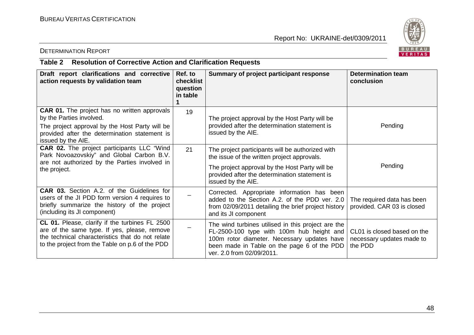

#### DETERMINATION REPORT

## **Table 2 Resolution of Corrective Action and Clarification Requests**

| Draft report clarifications and corrective<br>action requests by validation team                                                                                                                         | Ref. to<br>checklist<br>question<br>in table | Summary of project participant response                                                                                                                                                                                    | Determination team<br>conclusion                                    |
|----------------------------------------------------------------------------------------------------------------------------------------------------------------------------------------------------------|----------------------------------------------|----------------------------------------------------------------------------------------------------------------------------------------------------------------------------------------------------------------------------|---------------------------------------------------------------------|
| <b>CAR 01.</b> The project has no written approvals<br>by the Parties involved.<br>The project approval by the Host Party will be<br>provided after the determination statement is<br>issued by the AIE. | 19                                           | The project approval by the Host Party will be<br>provided after the determination statement is<br>issued by the AIE.                                                                                                      | Pending                                                             |
| <b>CAR 02.</b> The project participants LLC "Wind<br>Park Novoazovskiy" and Global Carbon B.V.<br>are not authorized by the Parties involved in<br>the project.                                          | 21                                           | The project participants will be authorized with<br>the issue of the written project approvals.<br>The project approval by the Host Party will be<br>provided after the determination statement is<br>issued by the AIE.   | Pending                                                             |
| <b>CAR 03.</b> Section A.2. of the Guidelines for<br>users of the JI PDD form version 4 requires to<br>briefly summarize the history of the project<br>(including its JI component)                      |                                              | Corrected. Appropriate information has been<br>added to the Section A.2. of the PDD ver. 2.0<br>from 02/09/2011 detailing the brief project history<br>and its JI component                                                | The required data has been<br>provided. CAR 03 is closed            |
| CL 01. Please, clarify if the turbines FL 2500<br>are of the same type. If yes, please, remove<br>the technical characteristics that do not relate<br>to the project from the Table on p.6 of the PDD    |                                              | The wind turbines utilised in this project are the<br>FL-2500-100 type with 100m hub height and<br>100m rotor diameter. Necessary updates have<br>been made in Table on the page 6 of the PDD<br>ver. 2.0 from 02/09/2011. | CL01 is closed based on the<br>necessary updates made to<br>the PDD |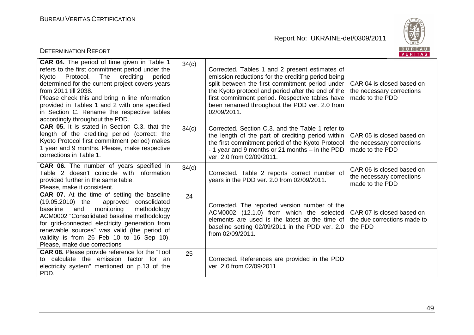

| <b>DETERMINATION REPORT</b>                                                                                                                                                                                                                                                                                                                                                                                  |       |                                                                                                                                                                                                                                                                                                                                  | BUREAU<br>VERITAS                                                         |
|--------------------------------------------------------------------------------------------------------------------------------------------------------------------------------------------------------------------------------------------------------------------------------------------------------------------------------------------------------------------------------------------------------------|-------|----------------------------------------------------------------------------------------------------------------------------------------------------------------------------------------------------------------------------------------------------------------------------------------------------------------------------------|---------------------------------------------------------------------------|
| CAR 04. The period of time given in Table 1<br>refers to the first commitment period under the<br>Protocol. The crediting<br>period<br>Kyoto<br>determined for the current project covers years<br>from 2011 till 2038.<br>Please check this and bring in line information<br>provided in Tables 1 and 2 with one specified<br>in Section C. Rename the respective tables<br>accordingly throughout the PDD. | 34(c) | Corrected. Tables 1 and 2 present estimates of<br>emission reductions for the crediting period being<br>split between the first commitment period under<br>the Kyoto protocol and period after the end of the<br>first commitment period. Respective tables have<br>been renamed throughout the PDD ver. 2.0 from<br>02/09/2011. | CAR 04 is closed based on<br>the necessary corrections<br>made to the PDD |
| <b>CAR 05.</b> It is stated in Section C.3. that the<br>length of the crediting period (correct: the<br>Kyoto Protocol first commitment period) makes<br>1 year and 9 months. Please, make respective<br>corrections in Table 1.                                                                                                                                                                             | 34(c) | Corrected. Section C.3, and the Table 1 refer to<br>the length of the part of crediting period within<br>the first commitment period of the Kyoto Protocol<br>- 1 year and 9 months or 21 months - in the PDD<br>ver. 2.0 from 02/09/2011.                                                                                       | CAR 05 is closed based on<br>the necessary corrections<br>made to the PDD |
| <b>CAR 06.</b> The number of years specified in<br>Table 2 doesn't coincide with information<br>provided further in the same table.<br>Please, make it consistent.                                                                                                                                                                                                                                           | 34(c) | Corrected. Table 2 reports correct number of<br>years in the PDD ver. 2.0 from 02/09/2011.                                                                                                                                                                                                                                       | CAR 06 is closed based on<br>the necessary corrections<br>made to the PDD |
| <b>CAR 07.</b> At the time of setting the baseline<br>$(19.05.2010)$ the<br>approved consolidated<br>baseline<br>monitoring<br>methodology<br>and<br>ACM0002 "Consolidated baseline methodology<br>for grid-connected electricity generation from<br>renewable sources" was valid (the period of<br>validity is from 26 Feb 10 to 16 Sep 10).<br>Please, make due corrections                                | 24    | Corrected. The reported version number of the<br>ACM0002 (12.1.0) from which the selected<br>elements are used is the latest at the time of<br>baseline setting 02/09/2011 in the PDD ver. 2.0<br>from 02/09/2011.                                                                                                               | CAR 07 is closed based on<br>the due corrections made to<br>the PDD       |
| <b>CAR 08.</b> Please provide reference for the "Tool<br>to calculate the emission factor for an<br>electricity system" mentioned on p.13 of the<br>PDD.                                                                                                                                                                                                                                                     | 25    | Corrected. References are provided in the PDD<br>ver. 2.0 from 02/09/2011                                                                                                                                                                                                                                                        |                                                                           |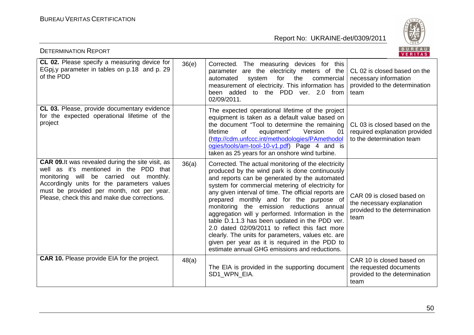

| <b>DETERMINATION REPORT</b>                                                                                                                                                                                                                                                               |       |                                                                                                                                                                                                                                                                                                                                                                                                                                                                                                                                                                                                                                                                              | BUREAU<br>VERITAS                                                                               |
|-------------------------------------------------------------------------------------------------------------------------------------------------------------------------------------------------------------------------------------------------------------------------------------------|-------|------------------------------------------------------------------------------------------------------------------------------------------------------------------------------------------------------------------------------------------------------------------------------------------------------------------------------------------------------------------------------------------------------------------------------------------------------------------------------------------------------------------------------------------------------------------------------------------------------------------------------------------------------------------------------|-------------------------------------------------------------------------------------------------|
| CL 02. Please specify a measuring device for<br>EGpj, y parameter in tables on p.18 and p. 29<br>of the PDD                                                                                                                                                                               | 36(e) | Corrected. The measuring devices for this<br>parameter are the electricity meters of the<br>automated<br>for the<br>system<br>commercial<br>measurement of electricity. This information has<br>been added to the PDD ver. 2.0 from<br>02/09/2011.                                                                                                                                                                                                                                                                                                                                                                                                                           | CL 02 is closed based on the<br>necessary information<br>provided to the determination<br>team  |
| CL 03. Please, provide documentary evidence<br>for the expected operational lifetime of the<br>project                                                                                                                                                                                    |       | The expected operational lifetime of the project<br>equipment is taken as a default value based on<br>the document "Tool to determine the remaining<br>lifetime<br>equipment"<br>Version<br>of<br>01<br>(http://cdm.unfccc.int/methodologies/PAmethodol<br>ogies/tools/am-tool-10-v1.pdf) Page 4 and is<br>taken as 25 years for an onshore wind turbine.                                                                                                                                                                                                                                                                                                                    | CL 03 is closed based on the<br>required explanation provided<br>to the determination team      |
| <b>CAR 09.</b> It was revealed during the site visit, as<br>well as it's mentioned in the PDD that<br>monitoring will be carried out monthly.<br>Accordingly units for the parameters values<br>must be provided per month, not per year.<br>Please, check this and make due corrections. | 36(a) | Corrected. The actual monitoring of the electricity<br>produced by the wind park is done continuously<br>and reports can be generated by the automated<br>system for commercial metering of electricity for<br>any given interval of time. The official reports are<br>prepared monthly and for the purpose of<br>monitoring the emission reductions annual<br>aggregation will y performed. Information in the<br>table D.1.1.3 has been updated in the PDD ver.<br>2.0 dated 02/09/2011 to reflect this fact more<br>clearly. The units for parameters, values etc. are<br>given per year as it is required in the PDD to<br>estimate annual GHG emissions and reductions. | CAR 09 is closed based on<br>the necessary explanation<br>provided to the determination<br>team |
| <b>CAR 10.</b> Please provide EIA for the project.                                                                                                                                                                                                                                        | 48(a) | The EIA is provided in the supporting document<br>SD1 WPN EIA.                                                                                                                                                                                                                                                                                                                                                                                                                                                                                                                                                                                                               | CAR 10 is closed based on<br>the requested documents<br>provided to the determination<br>team   |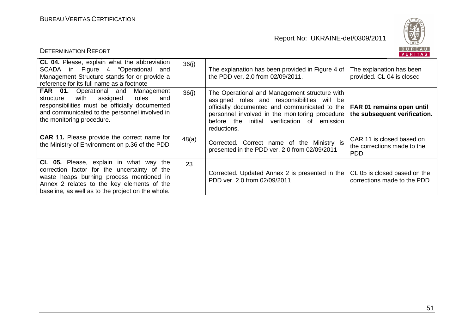

| <b>DETERMINATION REPORT</b>                                                                                                                                                                                                           |       |                                                                                                                                                                                                                                                               | BUREAU<br><b>VERITAS</b>                                               |
|---------------------------------------------------------------------------------------------------------------------------------------------------------------------------------------------------------------------------------------|-------|---------------------------------------------------------------------------------------------------------------------------------------------------------------------------------------------------------------------------------------------------------------|------------------------------------------------------------------------|
| CL 04. Please, explain what the abbreviation<br>SCADA in Figure 4 "Operational and<br>Management Structure stands for or provide a<br>reference for its full name as a footnote                                                       | 36(i) | The explanation has been provided in Figure 4 of<br>the PDD ver. 2.0 from 02/09/2011.                                                                                                                                                                         | The explanation has been<br>provided. CL 04 is closed                  |
| <b>FAR 01.</b> Operational and<br>Management<br>assigned<br>with<br>roles<br>structure<br>and<br>responsibilities must be officially documented<br>and communicated to the personnel involved in<br>the monitoring procedure.         | 36(i) | The Operational and Management structure with<br>assigned roles and responsibilities will be<br>officially documented and communicated to the<br>personnel involved in the monitoring procedure<br>before the initial verification of emission<br>reductions. | FAR 01 remains open until<br>the subsequent verification.              |
| <b>CAR 11.</b> Please provide the correct name for<br>the Ministry of Environment on p.36 of the PDD                                                                                                                                  | 48(a) | Corrected. Correct name of the Ministry is<br>presented in the PDD ver. 2.0 from 02/09/2011                                                                                                                                                                   | CAR 11 is closed based on<br>the corrections made to the<br><b>PDD</b> |
| CL 05. Please, explain in what way the<br>correction factor for the uncertainty of the<br>waste heaps burning process mentioned in<br>Annex 2 relates to the key elements of the<br>baseline, as well as to the project on the whole. | 23    | Corrected. Updated Annex 2 is presented in the<br>PDD ver. 2.0 from 02/09/2011                                                                                                                                                                                | CL 05 is closed based on the<br>corrections made to the PDD            |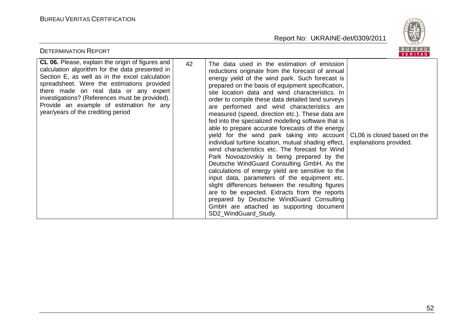

| <b>DETERMINATION REPORT</b>                                                                                                                                                                                                                                                                                                                                                             |    |                                                                                                                                                                                                                                                                                                                                                                                                                                                                                                                                                                                                                                                                                                                                                                                                                                                                                                                                                                                                                                                                                                              | BUREAU<br>VERITAS                                     |
|-----------------------------------------------------------------------------------------------------------------------------------------------------------------------------------------------------------------------------------------------------------------------------------------------------------------------------------------------------------------------------------------|----|--------------------------------------------------------------------------------------------------------------------------------------------------------------------------------------------------------------------------------------------------------------------------------------------------------------------------------------------------------------------------------------------------------------------------------------------------------------------------------------------------------------------------------------------------------------------------------------------------------------------------------------------------------------------------------------------------------------------------------------------------------------------------------------------------------------------------------------------------------------------------------------------------------------------------------------------------------------------------------------------------------------------------------------------------------------------------------------------------------------|-------------------------------------------------------|
| <b>CL 06.</b> Please, explain the origin of figures and<br>calculation algorithm for the data presented in<br>Section E, as well as in the excel calculation<br>spreadsheet. Were the estimations provided<br>there made on real data or any expert<br>investigations? (References must be provided).<br>Provide an example of estimation for any<br>year/years of the crediting period | 42 | The data used in the estimation of emission<br>reductions originate from the forecast of annual<br>energy yield of the wind park. Such forecast is<br>prepared on the basis of equipment specification,<br>site location data and wind characteristics. In<br>order to compile these data detailed land surveys<br>are performed and wind characteristics are<br>measured (speed, direction etc.). These data are<br>fed into the specialized modelling software that is<br>able to prepare accurate forecasts of the energy<br>yield for the wind park taking into account<br>individual turbine location, mutual shading effect,<br>wind characteristics etc. The forecast for Wind<br>Park Novoazovskiy is being prepared by the<br>Deutsche WindGuard Consulting GmbH. As the<br>calculations of energy yield are sensitive to the<br>input data, parameters of the equipment etc.<br>slight differences between the resulting figures<br>are to be expected. Extracts from the reports<br>prepared by Deutsche WindGuard Consulting<br>GmbH are attached as supporting document<br>SD2_WindGuard_Study. | CL06 is closed based on the<br>explanations provided. |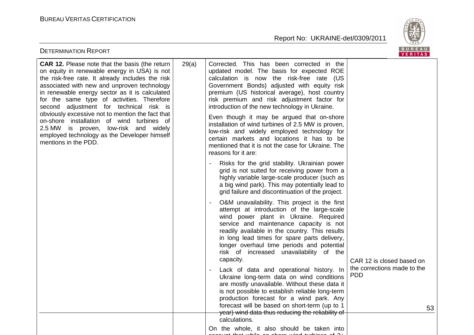

| <b>DETERMINATION REPORT</b>                                                                                                                                                                                                                                                                                                                                                                                                                                                                                                                                           |       |                                                                                                                                                                                                                                                                                                                                                                                                                                                                                                                                                                                                                    | BUREAU<br>VERITAS                               |
|-----------------------------------------------------------------------------------------------------------------------------------------------------------------------------------------------------------------------------------------------------------------------------------------------------------------------------------------------------------------------------------------------------------------------------------------------------------------------------------------------------------------------------------------------------------------------|-------|--------------------------------------------------------------------------------------------------------------------------------------------------------------------------------------------------------------------------------------------------------------------------------------------------------------------------------------------------------------------------------------------------------------------------------------------------------------------------------------------------------------------------------------------------------------------------------------------------------------------|-------------------------------------------------|
| <b>CAR 12.</b> Please note that the basis (the return<br>on equity in renewable energy in USA) is not<br>the risk-free rate. It already includes the risk<br>associated with new and unproven technology<br>in renewable energy sector as it is calculated<br>for the same type of activities. Therefore<br>second adjustment for technical risk is<br>obviously excessive not to mention the fact that<br>on-shore installation of wind turbines of<br>2.5 MW is proven, low-risk and widely<br>employed technology as the Developer himself<br>mentions in the PDD. | 29(a) | Corrected. This has been corrected in the<br>updated model. The basis for expected ROE<br>calculation is now the risk-free rate (US<br>Government Bonds) adjusted with equity risk<br>premium (US historical average), host country<br>risk premium and risk adjustment factor for<br>introduction of the new technology in Ukraine.<br>Even though it may be argued that on-shore<br>installation of wind turbines of 2.5 MW is proven,<br>low-risk and widely employed technology for<br>certain markets and locations it has to be<br>mentioned that it is not the case for Ukraine. The<br>reasons for it are: |                                                 |
|                                                                                                                                                                                                                                                                                                                                                                                                                                                                                                                                                                       |       | Risks for the grid stability. Ukrainian power<br>grid is not suited for receiving power from a<br>highly variable large-scale producer (such as<br>a big wind park). This may potentially lead to<br>grid failure and discontinuation of the project.                                                                                                                                                                                                                                                                                                                                                              |                                                 |
|                                                                                                                                                                                                                                                                                                                                                                                                                                                                                                                                                                       |       | O&M unavailability. This project is the first<br>attempt at introduction of the large-scale<br>wind power plant in Ukraine. Required<br>service and maintenance capacity is not<br>readily available in the country. This results<br>in long lead times for spare parts delivery,<br>longer overhaul time periods and potential<br>risk of increased unavailability of the<br>capacity.                                                                                                                                                                                                                            | CAR 12 is closed based on                       |
|                                                                                                                                                                                                                                                                                                                                                                                                                                                                                                                                                                       |       | Lack of data and operational history. In<br>Ukraine long-term data on wind conditions<br>are mostly unavailable. Without these data it<br>is not possible to establish reliable long-term<br>production forecast for a wind park. Any<br>forecast will be based on short-term (up to 1<br>year) wind data thus reducing the reliability of                                                                                                                                                                                                                                                                         | the corrections made to the<br><b>PDD</b><br>53 |
|                                                                                                                                                                                                                                                                                                                                                                                                                                                                                                                                                                       |       | calculations.<br>On the whole, it also should be taken into<br>لمتما لمانسليسته                                                                                                                                                                                                                                                                                                                                                                                                                                                                                                                                    |                                                 |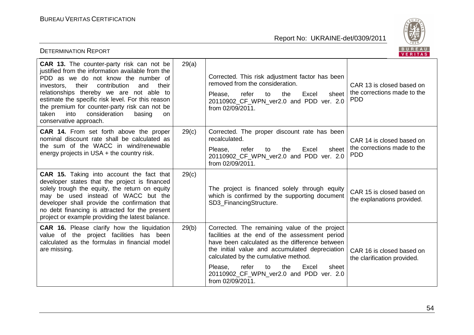

| <b>DETERMINATION REPORT</b>                                                                                                                                                                                                                                                                                                                                                                                                              |       |                                                                                                                                                                                                                                                                                                                                                               | BUREAU<br>VERITAS                                                      |
|------------------------------------------------------------------------------------------------------------------------------------------------------------------------------------------------------------------------------------------------------------------------------------------------------------------------------------------------------------------------------------------------------------------------------------------|-------|---------------------------------------------------------------------------------------------------------------------------------------------------------------------------------------------------------------------------------------------------------------------------------------------------------------------------------------------------------------|------------------------------------------------------------------------|
| <b>CAR 13.</b> The counter-party risk can not be<br>justified from the information available from the<br>PDD as we do not know the number of<br>contribution<br>their<br>and<br>their<br>investors,<br>relationships thereby we are not able to<br>estimate the specific risk level. For this reason<br>the premium for counter-party risk can not be<br>taken<br>into<br>consideration<br>basing<br><b>on</b><br>conservative approach. | 29(a) | Corrected. This risk adjustment factor has been<br>removed from the consideration.<br>Please,<br>refer<br>Excel<br>to<br>the<br>sheet<br>20110902_CF_WPN_ver2.0 and PDD ver. 2.0<br>from 02/09/2011.                                                                                                                                                          | CAR 13 is closed based on<br>the corrections made to the<br><b>PDD</b> |
| <b>CAR 14.</b> From set forth above the proper<br>nominal discount rate shall be calculated as<br>the sum of the WACC in wind/renewable<br>energy projects in USA $+$ the country risk.                                                                                                                                                                                                                                                  | 29(c) | Corrected. The proper discount rate has been<br>recalculated.<br>Please,<br>refer<br>the<br>Excel<br>sheet<br>to<br>20110902 CF WPN ver2.0 and PDD ver. 2.0<br>from 02/09/2011.                                                                                                                                                                               | CAR 14 is closed based on<br>the corrections made to the<br><b>PDD</b> |
| <b>CAR 15.</b> Taking into account the fact that<br>developer states that the project is financed<br>solely trough the equity, the return on equity<br>may be used instead of WACC but the<br>developer shall provide the confirmation that<br>no debt financing is attracted for the present<br>project or example providing the latest balance.                                                                                        | 29(c) | The project is financed solely through equity<br>which is confirmed by the supporting document<br>SD3_FinancingStructure.                                                                                                                                                                                                                                     | CAR 15 is closed based on<br>the explanations provided.                |
| <b>CAR 16.</b> Please clarify how the liquidation<br>value of the project facilities has been<br>calculated as the formulas in financial model<br>are missing.                                                                                                                                                                                                                                                                           | 29(b) | Corrected. The remaining value of the project<br>facilities at the end of the assessment period<br>have been calculated as the difference between<br>the initial value and accumulated depreciation<br>calculated by the cumulative method.<br>refer<br>Please,<br>the<br>Excel<br>to<br>sheet<br>20110902_CF_WPN_ver2.0 and PDD ver. 2.0<br>from 02/09/2011. | CAR 16 is closed based on<br>the clarification provided.               |